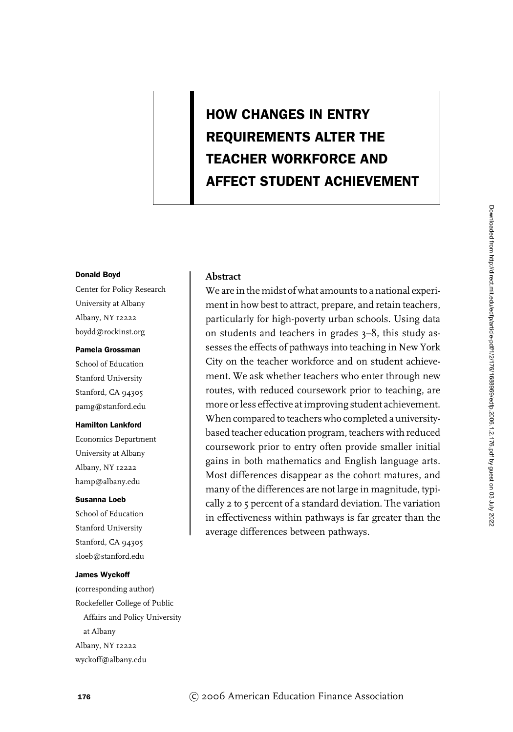# HOW CHANGES IN ENTRY REQUIREMENTS ALTER THE TEACHER WORKFORCE AND AFFECT STUDENT ACHIEVEMENT

#### Donald Boyd

Center for Policy Research University at Albany Albany, NY 12222 boydd@rockinst.org

# Pamela Grossman

School of Education Stanford University Stanford, CA 94305 pamg@stanford.edu

#### Hamilton Lankford

Economics Department University at Albany Albany, NY 12222 hamp@albany.edu

#### Susanna Loeb

School of Education Stanford University Stanford, CA 94305 sloeb@stanford.edu

#### James Wyckoff

(corresponding author) Rockefeller College of Public Affairs and Policy University at Albany Albany, NY 12222 wyckoff@albany.edu

#### **Abstract**

We are in the midst of what amounts to a national experiment in how best to attract, prepare, and retain teachers, particularly for high-poverty urban schools. Using data on students and teachers in grades 3–8, this study assesses the effects of pathways into teaching in New York City on the teacher workforce and on student achievement. We ask whether teachers who enter through new routes, with reduced coursework prior to teaching, are more or less effective at improving student achievement. When compared to teachers who completed a universitybased teacher education program, teachers with reduced coursework prior to entry often provide smaller initial gains in both mathematics and English language arts. Most differences disappear as the cohort matures, and many of the differences are not large in magnitude, typically 2 to 5 percent of a standard deviation. The variation in effectiveness within pathways is far greater than the average differences between pathways.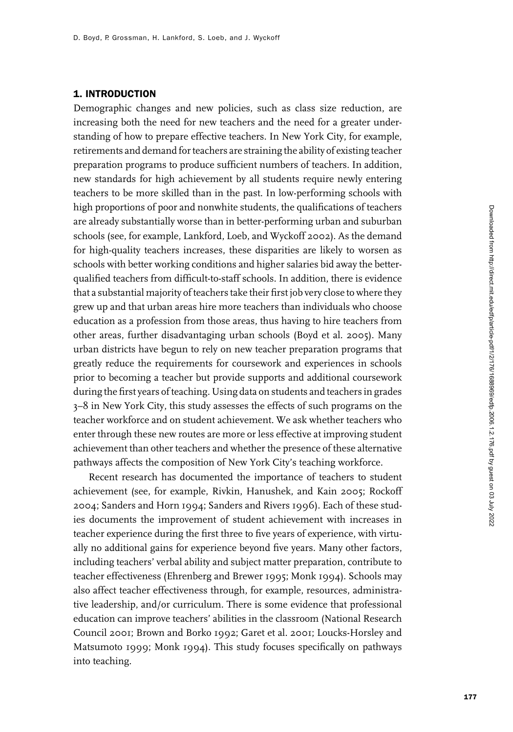# 1. INTRODUCTION

Demographic changes and new policies, such as class size reduction, are increasing both the need for new teachers and the need for a greater understanding of how to prepare effective teachers. In New York City, for example, retirements and demand for teachers are straining the ability of existing teacher preparation programs to produce sufficient numbers of teachers. In addition, new standards for high achievement by all students require newly entering teachers to be more skilled than in the past. In low-performing schools with high proportions of poor and nonwhite students, the qualifications of teachers are already substantially worse than in better-performing urban and suburban schools (see, for example, Lankford, Loeb, and Wyckoff 2002). As the demand for high-quality teachers increases, these disparities are likely to worsen as schools with better working conditions and higher salaries bid away the betterqualified teachers from difficult-to-staff schools. In addition, there is evidence that a substantial majority of teachers take their first job very close to where they grew up and that urban areas hire more teachers than individuals who choose education as a profession from those areas, thus having to hire teachers from other areas, further disadvantaging urban schools (Boyd et al. 2005). Many urban districts have begun to rely on new teacher preparation programs that greatly reduce the requirements for coursework and experiences in schools prior to becoming a teacher but provide supports and additional coursework during the first years of teaching. Using data on students and teachers in grades 3–8 in New York City, this study assesses the effects of such programs on the teacher workforce and on student achievement. We ask whether teachers who enter through these new routes are more or less effective at improving student achievement than other teachers and whether the presence of these alternative pathways affects the composition of New York City's teaching workforce.

Recent research has documented the importance of teachers to student achievement (see, for example, Rivkin, Hanushek, and Kain 2005; Rockoff 2004; Sanders and Horn 1994; Sanders and Rivers 1996). Each of these studies documents the improvement of student achievement with increases in teacher experience during the first three to five years of experience, with virtually no additional gains for experience beyond five years. Many other factors, including teachers' verbal ability and subject matter preparation, contribute to teacher effectiveness (Ehrenberg and Brewer 1995; Monk 1994). Schools may also affect teacher effectiveness through, for example, resources, administrative leadership, and/or curriculum. There is some evidence that professional education can improve teachers' abilities in the classroom (National Research Council 2001; Brown and Borko 1992; Garet et al. 2001; Loucks-Horsley and Matsumoto 1999; Monk 1994). This study focuses specifically on pathways into teaching.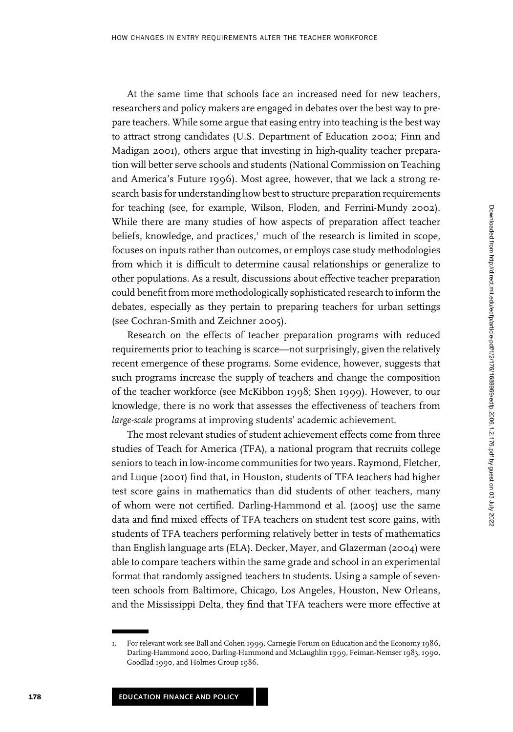At the same time that schools face an increased need for new teachers, researchers and policy makers are engaged in debates over the best way to prepare teachers. While some argue that easing entry into teaching is the best way to attract strong candidates (U.S. Department of Education 2002; Finn and Madigan 2001), others argue that investing in high-quality teacher preparation will better serve schools and students (National Commission on Teaching and America's Future 1996). Most agree, however, that we lack a strong research basis for understanding how best to structure preparation requirements for teaching (see, for example, Wilson, Floden, and Ferrini-Mundy 2002). While there are many studies of how aspects of preparation affect teacher beliefs, knowledge, and practices, <sup>1</sup> much of the research is limited in scope, focuses on inputs rather than outcomes, or employs case study methodologies from which it is difficult to determine causal relationships or generalize to other populations. As a result, discussions about effective teacher preparation could benefit from more methodologically sophisticated research to inform the debates, especially as they pertain to preparing teachers for urban settings (see Cochran-Smith and Zeichner 2005).

Research on the effects of teacher preparation programs with reduced requirements prior to teaching is scarce—not surprisingly, given the relatively recent emergence of these programs. Some evidence, however, suggests that such programs increase the supply of teachers and change the composition of the teacher workforce (see McKibbon 1998; Shen 1999). However, to our knowledge, there is no work that assesses the effectiveness of teachers from *large-scale* programs at improving students' academic achievement.

The most relevant studies of student achievement effects come from three studies of Teach for America (TFA), a national program that recruits college seniors to teach in low-income communities for two years. Raymond, Fletcher, and Luque (2001) find that, in Houston, students of TFA teachers had higher test score gains in mathematics than did students of other teachers, many of whom were not certified. Darling-Hammond et al. (2005) use the same data and find mixed effects of TFA teachers on student test score gains, with students of TFA teachers performing relatively better in tests of mathematics than English language arts (ELA). Decker, Mayer, and Glazerman (2004) were able to compare teachers within the same grade and school in an experimental format that randomly assigned teachers to students. Using a sample of seventeen schools from Baltimore, Chicago, Los Angeles, Houston, New Orleans, and the Mississippi Delta, they find that TFA teachers were more effective at

<sup>1.</sup> For relevant work see Ball and Cohen 1999, Carnegie Forum on Education and the Economy 1986, Darling-Hammond 2000, Darling-Hammond and McLaughlin 1999, Feiman-Nemser 1983, 1990, Goodlad 1990, and Holmes Group 1986.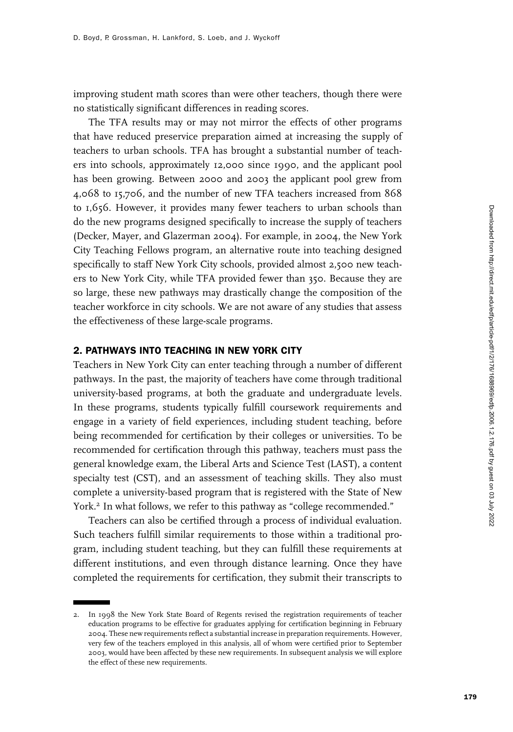improving student math scores than were other teachers, though there were no statistically significant differences in reading scores.

The TFA results may or may not mirror the effects of other programs that have reduced preservice preparation aimed at increasing the supply of teachers to urban schools. TFA has brought a substantial number of teachers into schools, approximately 12,000 since 1990, and the applicant pool has been growing. Between 2000 and 2003 the applicant pool grew from 4,068 to 15,706, and the number of new TFA teachers increased from 868 to 1,656. However, it provides many fewer teachers to urban schools than do the new programs designed specifically to increase the supply of teachers (Decker, Mayer, and Glazerman 2004). For example, in 2004, the New York City Teaching Fellows program, an alternative route into teaching designed specifically to staff New York City schools, provided almost 2,500 new teachers to New York City, while TFA provided fewer than 350. Because they are so large, these new pathways may drastically change the composition of the teacher workforce in city schools. We are not aware of any studies that assess the effectiveness of these large-scale programs.

# 2. PATHWAYS INTO TEACHING IN NEW YORK CITY

Teachers in New York City can enter teaching through a number of different pathways. In the past, the majority of teachers have come through traditional university-based programs, at both the graduate and undergraduate levels. In these programs, students typically fulfill coursework requirements and engage in a variety of field experiences, including student teaching, before being recommended for certification by their colleges or universities. To be recommended for certification through this pathway, teachers must pass the general knowledge exam, the Liberal Arts and Science Test (LAST), a content specialty test (CST), and an assessment of teaching skills. They also must complete a university-based program that is registered with the State of New York.<sup>2</sup> In what follows, we refer to this pathway as "college recommended."

Teachers can also be certified through a process of individual evaluation. Such teachers fulfill similar requirements to those within a traditional program, including student teaching, but they can fulfill these requirements at different institutions, and even through distance learning. Once they have completed the requirements for certification, they submit their transcripts to

<sup>2.</sup> In 1998 the New York State Board of Regents revised the registration requirements of teacher education programs to be effective for graduates applying for certification beginning in February 2004. These new requirements reflect a substantial increase in preparation requirements. However, very few of the teachers employed in this analysis, all of whom were certified prior to September 2003, would have been affected by these new requirements. In subsequent analysis we will explore the effect of these new requirements.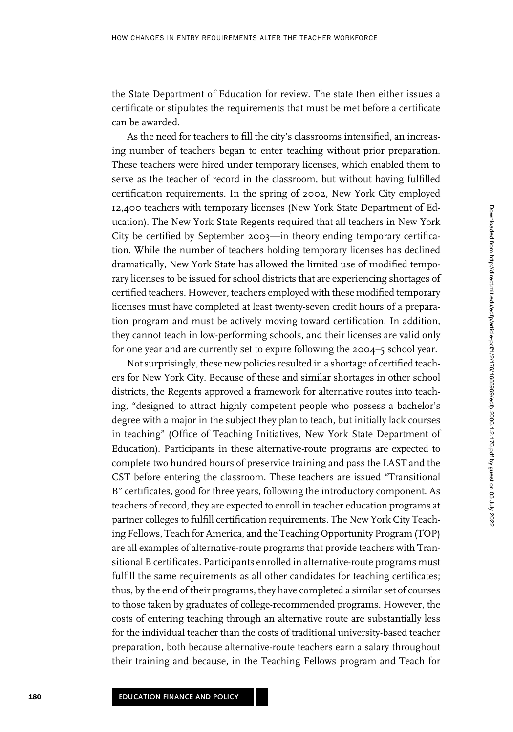the State Department of Education for review. The state then either issues a certificate or stipulates the requirements that must be met before a certificate can be awarded.

As the need for teachers to fill the city's classrooms intensified, an increasing number of teachers began to enter teaching without prior preparation. These teachers were hired under temporary licenses, which enabled them to serve as the teacher of record in the classroom, but without having fulfilled certification requirements. In the spring of 2002, New York City employed 12,400 teachers with temporary licenses (New York State Department of Education). The New York State Regents required that all teachers in New York City be certified by September 2003—in theory ending temporary certification. While the number of teachers holding temporary licenses has declined dramatically, New York State has allowed the limited use of modified temporary licenses to be issued for school districts that are experiencing shortages of certified teachers. However, teachers employed with these modified temporary licenses must have completed at least twenty-seven credit hours of a preparation program and must be actively moving toward certification. In addition, they cannot teach in low-performing schools, and their licenses are valid only for one year and are currently set to expire following the 2004–5 school year.

Not surprisingly, these new policies resulted in a shortage of certified teachers for New York City. Because of these and similar shortages in other school districts, the Regents approved a framework for alternative routes into teaching, "designed to attract highly competent people who possess a bachelor's degree with a major in the subject they plan to teach, but initially lack courses in teaching" (Office of Teaching Initiatives, New York State Department of Education). Participants in these alternative-route programs are expected to complete two hundred hours of preservice training and pass the LAST and the CST before entering the classroom. These teachers are issued "Transitional B" certificates, good for three years, following the introductory component. As teachers of record, they are expected to enroll in teacher education programs at partner colleges to fulfill certification requirements. The New York City Teaching Fellows, Teach for America, and the Teaching Opportunity Program (TOP) are all examples of alternative-route programs that provide teachers with Transitional B certificates. Participants enrolled in alternative-route programs must fulfill the same requirements as all other candidates for teaching certificates; thus, by the end of their programs, they have completed a similar set of courses to those taken by graduates of college-recommended programs. However, the costs of entering teaching through an alternative route are substantially less for the individual teacher than the costs of traditional university-based teacher preparation, both because alternative-route teachers earn a salary throughout their training and because, in the Teaching Fellows program and Teach for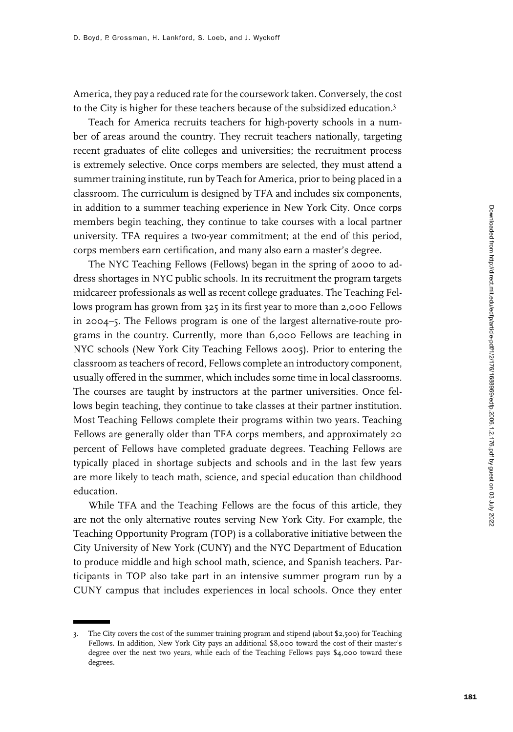America, they pay a reduced rate for the coursework taken. Conversely, the cost to the City is higher for these teachers because of the subsidized education.3

Teach for America recruits teachers for high-poverty schools in a number of areas around the country. They recruit teachers nationally, targeting recent graduates of elite colleges and universities; the recruitment process is extremely selective. Once corps members are selected, they must attend a summer training institute, run by Teach for America, prior to being placed in a classroom. The curriculum is designed by TFA and includes six components, in addition to a summer teaching experience in New York City. Once corps members begin teaching, they continue to take courses with a local partner university. TFA requires a two-year commitment; at the end of this period, corps members earn certification, and many also earn a master's degree.

The NYC Teaching Fellows (Fellows) began in the spring of 2000 to address shortages in NYC public schools. In its recruitment the program targets midcareer professionals as well as recent college graduates. The Teaching Fellows program has grown from 325 in its first year to more than 2,000 Fellows in 2004–5. The Fellows program is one of the largest alternative-route programs in the country. Currently, more than 6,000 Fellows are teaching in NYC schools (New York City Teaching Fellows 2005). Prior to entering the classroom as teachers of record, Fellows complete an introductory component, usually offered in the summer, which includes some time in local classrooms. The courses are taught by instructors at the partner universities. Once fellows begin teaching, they continue to take classes at their partner institution. Most Teaching Fellows complete their programs within two years. Teaching Fellows are generally older than TFA corps members, and approximately 20 percent of Fellows have completed graduate degrees. Teaching Fellows are typically placed in shortage subjects and schools and in the last few years are more likely to teach math, science, and special education than childhood education.

While TFA and the Teaching Fellows are the focus of this article, they are not the only alternative routes serving New York City. For example, the Teaching Opportunity Program (TOP) is a collaborative initiative between the City University of New York (CUNY) and the NYC Department of Education to produce middle and high school math, science, and Spanish teachers. Participants in TOP also take part in an intensive summer program run by a CUNY campus that includes experiences in local schools. Once they enter

<sup>3.</sup> The City covers the cost of the summer training program and stipend (about \$2,500) for Teaching Fellows. In addition, New York City pays an additional \$8,000 toward the cost of their master's degree over the next two years, while each of the Teaching Fellows pays \$4,000 toward these degrees.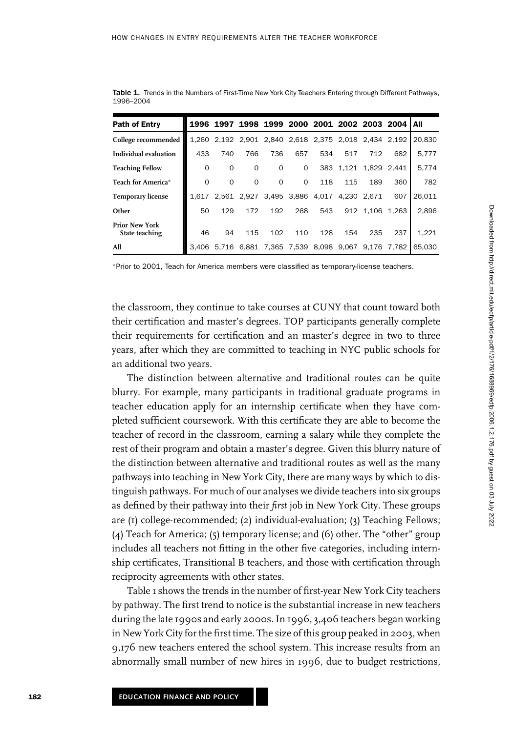Downloaded from http://direct.mit.edu/edfp/article-pdf/1/2/176/1688969/edfp.2006.1.2.176.pdf by guest on 03 July 2022 Downloaded from http://direct.mit.edu/edfp/article-pdf/1/2/176/1688969/edfp.2006.1.2.176.pdf by guest on 03 July 2022

| <b>Path of Entry</b>                    |          |          |          |          |          |                                                       |             |                       | 1996 1997 1998 1999 2000 2001 2002 2003 2004 All      |        |
|-----------------------------------------|----------|----------|----------|----------|----------|-------------------------------------------------------|-------------|-----------------------|-------------------------------------------------------|--------|
| College recommended                     |          |          |          |          |          |                                                       |             |                       | 1,260 2,192 2,901 2,840 2,618 2,375 2,018 2,434 2,192 | 20.830 |
| Individual evaluation                   | 433      | 740      | 766      | 736      | 657      | 534                                                   | 517         | 712                   | 682                                                   | 5.777  |
| <b>Teaching Fellow</b>                  | $\Omega$ | $\Omega$ | $\Omega$ | $\Omega$ | 0        |                                                       |             | 383 1.121 1.829 2.441 |                                                       | 5.774  |
| Teach for America*                      | $\Omega$ | $\Omega$ | $\Omega$ | $\Omega$ | $\Omega$ | 118                                                   | 115         | 189                   | 360                                                   | 782    |
| <b>Temporary license</b>                |          |          |          |          |          | 1,617 2,561 2,927 3,495 3,886 4,017                   | 4.230 2.671 |                       | 607                                                   | 26.011 |
| Other                                   | 50       | 129      | 172      | 192      | 268      | 543                                                   |             |                       | 912 1.106 1.263                                       | 2.896  |
| <b>Prior New York</b><br>State teaching | 46       | 94       | 115      | 102      | 110      | 128                                                   | 154         | 235                   | 237                                                   | 1.221  |
| All                                     |          |          |          |          |          | 3.406 5.716 6.881 7.365 7.539 8.098 9.067 9.176 7.782 |             |                       |                                                       | 65.030 |

Table 1. Trends in the Numbers of First-Time New York City Teachers Entering through Different Pathways, 1996–2004

<sup>∗</sup>Prior to 2001, Teach for America members were classified as temporary-license teachers.

the classroom, they continue to take courses at CUNY that count toward both their certification and master's degrees. TOP participants generally complete their requirements for certification and an master's degree in two to three years, after which they are committed to teaching in NYC public schools for an additional two years.

The distinction between alternative and traditional routes can be quite blurry. For example, many participants in traditional graduate programs in teacher education apply for an internship certificate when they have completed sufficient coursework. With this certificate they are able to become the teacher of record in the classroom, earning a salary while they complete the rest of their program and obtain a master's degree. Given this blurry nature of the distinction between alternative and traditional routes as well as the many pathways into teaching in New York City, there are many ways by which to distinguish pathways. For much of our analyses we divide teachers into six groups as defined by their pathway into their *first* job in New York City. These groups are (1) college-recommended; (2) individual-evaluation; (3) Teaching Fellows; (4) Teach for America; (5) temporary license; and (6) other. The "other" group includes all teachers not fitting in the other five categories, including internship certificates, Transitional B teachers, and those with certification through reciprocity agreements with other states.

Table 1 shows the trends in the number of first-year New York City teachers by pathway. The first trend to notice is the substantial increase in new teachers during the late 1990s and early 2000s. In 1996, 3,406 teachers began working in New York City for the first time. The size of this group peaked in 2003, when 9,176 new teachers entered the school system. This increase results from an abnormally small number of new hires in 1996, due to budget restrictions,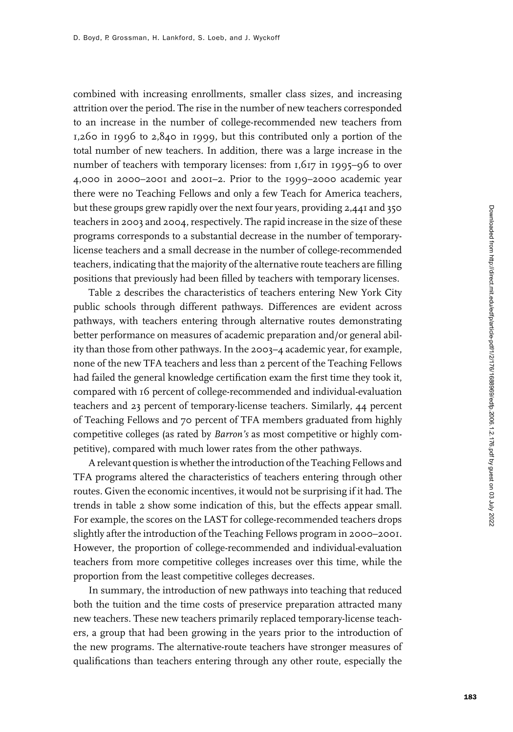combined with increasing enrollments, smaller class sizes, and increasing attrition over the period. The rise in the number of new teachers corresponded to an increase in the number of college-recommended new teachers from 1,260 in 1996 to 2,840 in 1999, but this contributed only a portion of the total number of new teachers. In addition, there was a large increase in the number of teachers with temporary licenses: from 1,617 in 1995–96 to over 4,000 in 2000–2001 and 2001–2. Prior to the 1999–2000 academic year there were no Teaching Fellows and only a few Teach for America teachers, but these groups grew rapidly over the next four years, providing 2,441 and 350 teachers in 2003 and 2004, respectively. The rapid increase in the size of these programs corresponds to a substantial decrease in the number of temporarylicense teachers and a small decrease in the number of college-recommended teachers, indicating that the majority of the alternative route teachers are filling positions that previously had been filled by teachers with temporary licenses.

Table 2 describes the characteristics of teachers entering New York City public schools through different pathways. Differences are evident across pathways, with teachers entering through alternative routes demonstrating better performance on measures of academic preparation and/or general ability than those from other pathways. In the 2003–4 academic year, for example, none of the new TFA teachers and less than 2 percent of the Teaching Fellows had failed the general knowledge certification exam the first time they took it, compared with 16 percent of college-recommended and individual-evaluation teachers and 23 percent of temporary-license teachers. Similarly, 44 percent of Teaching Fellows and 70 percent of TFA members graduated from highly competitive colleges (as rated by *Barron's* as most competitive or highly competitive), compared with much lower rates from the other pathways.

A relevant question is whether the introduction of the Teaching Fellows and TFA programs altered the characteristics of teachers entering through other routes. Given the economic incentives, it would not be surprising if it had. The trends in table 2 show some indication of this, but the effects appear small. For example, the scores on the LAST for college-recommended teachers drops slightly after the introduction of the Teaching Fellows program in 2000–2001. However, the proportion of college-recommended and individual-evaluation teachers from more competitive colleges increases over this time, while the proportion from the least competitive colleges decreases.

In summary, the introduction of new pathways into teaching that reduced both the tuition and the time costs of preservice preparation attracted many new teachers. These new teachers primarily replaced temporary-license teachers, a group that had been growing in the years prior to the introduction of the new programs. The alternative-route teachers have stronger measures of qualifications than teachers entering through any other route, especially the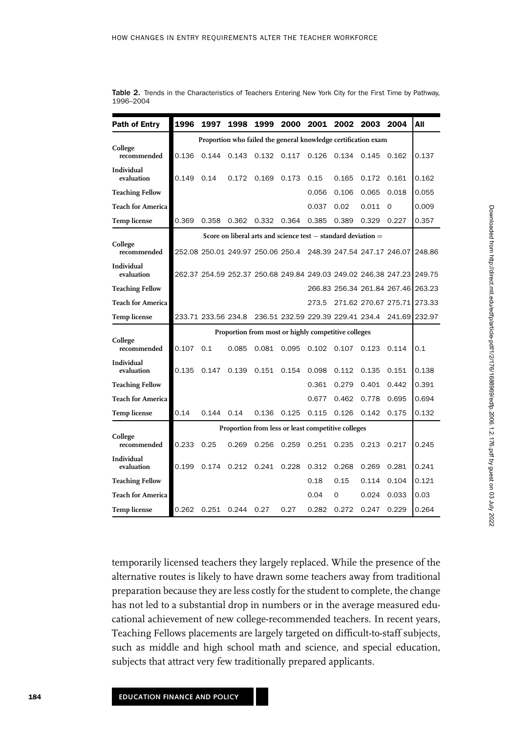| <b>Path of Entry</b>     | 1996                                                              | 1997           | 1998  | 1999  | 2000  | 2001                                                           | 2002  | 2003  | 2004                                                                  | All    |
|--------------------------|-------------------------------------------------------------------|----------------|-------|-------|-------|----------------------------------------------------------------|-------|-------|-----------------------------------------------------------------------|--------|
|                          |                                                                   |                |       |       |       | Proportion who failed the general knowledge certification exam |       |       |                                                                       |        |
| College<br>recommended   | 0.136                                                             | 0.144          | 0.143 | 0.132 | 0.117 | 0.126                                                          | 0.134 | 0.145 | 0.162                                                                 | 0.137  |
| Individual<br>evaluation | 0.149                                                             | 0.14           | 0.172 | 0.169 | 0.173 | 0.15                                                           | 0.165 | 0.172 | 0.161                                                                 | 0.162  |
| <b>Teaching Fellow</b>   |                                                                   |                |       |       |       | 0.056                                                          | 0.106 | 0.065 | 0.018                                                                 | 0.055  |
| <b>Teach for America</b> |                                                                   |                |       |       |       | 0.037                                                          | 0.02  | 0.011 | $\Omega$                                                              | 0.009  |
| <b>Temp license</b>      | 0.369                                                             | 0.358          | 0.362 | 0.332 | 0.364 | 0.385                                                          | 0.389 | 0.329 | 0.227                                                                 | 0.357  |
|                          | Score on liberal arts and science test $-$ standard deviation $=$ |                |       |       |       |                                                                |       |       |                                                                       |        |
| College<br>recommended   |                                                                   |                |       |       |       |                                                                |       |       | 252.08 250.01 249.97 250.06 250.4 248.39 247.54 247.17 246.07         | 248.86 |
| Individual<br>evaluation |                                                                   |                |       |       |       |                                                                |       |       | 262.37 254.59 252.37 250.68 249.84 249.03 249.02 246.38 247.23 249.75 |        |
| <b>Teaching Fellow</b>   |                                                                   |                |       |       |       |                                                                |       |       | 266.83 256.34 261.84 267.46                                           | 263.23 |
| <b>Teach for America</b> |                                                                   |                |       |       |       | 273.5                                                          |       |       | 271.62 270.67 275.71 273.33                                           |        |
| <b>Temp license</b>      |                                                                   |                |       |       |       | 233.71 233.56 234.8 236.51 232.59 229.39 229.41 234.4          |       |       | 241.69                                                                | 232.97 |
|                          |                                                                   |                |       |       |       | Proportion from most or highly competitive colleges            |       |       |                                                                       |        |
| College<br>recommended   | 0.107                                                             | 0.1            | 0.085 | 0.081 | 0.095 | 0.102                                                          | 0.107 | 0.123 | 0.114                                                                 | 0.1    |
| Individual<br>evaluation | 0.135                                                             | 0.147          | 0.139 | 0.151 | 0.154 | 0.098                                                          | 0.112 | 0.135 | 0.151                                                                 | 0.138  |
| <b>Teaching Fellow</b>   |                                                                   |                |       |       |       | 0.361                                                          | 0.279 | 0.401 | 0.442                                                                 | 0.391  |
| <b>Teach for America</b> |                                                                   |                |       |       |       | 0.677                                                          | 0.462 | 0.778 | 0.695                                                                 | 0.694  |
| <b>Temp license</b>      | 0.14                                                              | $0.144$ $0.14$ |       | 0.136 | 0.125 | 0.115                                                          | 0.126 | 0.142 | 0.175                                                                 | 0.132  |
|                          |                                                                   |                |       |       |       | Proportion from less or least competitive colleges             |       |       |                                                                       |        |
| College<br>recommended   | 0.233                                                             | 0.25           | 0.269 | 0.256 | 0.259 | 0.251                                                          | 0.235 | 0.213 | 0.217                                                                 | 0.245  |
| Individual<br>evaluation | 0.199                                                             | 0.174          | 0.212 | 0.241 | 0.228 | 0.312                                                          | 0.268 | 0.269 | 0.281                                                                 | 0.241  |
| <b>Teaching Fellow</b>   |                                                                   |                |       |       |       | 0.18                                                           | 0.15  | 0.114 | 0.104                                                                 | 0.121  |
| <b>Teach for America</b> |                                                                   |                |       |       |       | 0.04                                                           | O     | 0.024 | 0.033                                                                 | 0.03   |
| <b>Temp license</b>      | 0.262                                                             | 0.251          | 0.244 | 0.27  | 0.27  | 0.282                                                          | 0.272 | 0.247 | 0.229                                                                 | 0.264  |

Table 2. Trends in the Characteristics of Teachers Entering New York City for the First Time by Pathway, 1996–2004

temporarily licensed teachers they largely replaced. While the presence of the alternative routes is likely to have drawn some teachers away from traditional preparation because they are less costly for the student to complete, the change has not led to a substantial drop in numbers or in the average measured educational achievement of new college-recommended teachers. In recent years, Teaching Fellows placements are largely targeted on difficult-to-staff subjects, such as middle and high school math and science, and special education, subjects that attract very few traditionally prepared applicants.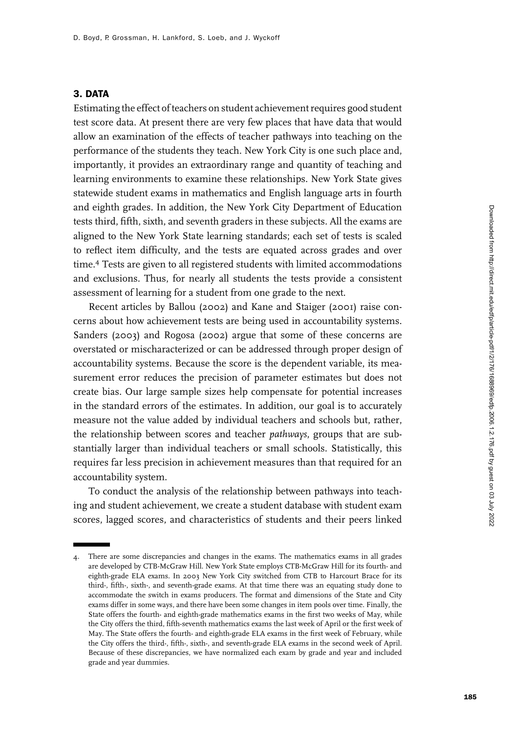# 3. DATA

Estimating the effect of teachers on student achievement requires good student test score data. At present there are very few places that have data that would allow an examination of the effects of teacher pathways into teaching on the performance of the students they teach. New York City is one such place and, importantly, it provides an extraordinary range and quantity of teaching and learning environments to examine these relationships. New York State gives statewide student exams in mathematics and English language arts in fourth and eighth grades. In addition, the New York City Department of Education tests third, fifth, sixth, and seventh graders in these subjects. All the exams are aligned to the New York State learning standards; each set of tests is scaled to reflect item difficulty, and the tests are equated across grades and over time.<sup>4</sup> Tests are given to all registered students with limited accommodations and exclusions. Thus, for nearly all students the tests provide a consistent assessment of learning for a student from one grade to the next.

Recent articles by Ballou (2002) and Kane and Staiger (2001) raise concerns about how achievement tests are being used in accountability systems. Sanders (2003) and Rogosa (2002) argue that some of these concerns are overstated or mischaracterized or can be addressed through proper design of accountability systems. Because the score is the dependent variable, its measurement error reduces the precision of parameter estimates but does not create bias. Our large sample sizes help compensate for potential increases in the standard errors of the estimates. In addition, our goal is to accurately measure not the value added by individual teachers and schools but, rather, the relationship between scores and teacher *pathways*, groups that are substantially larger than individual teachers or small schools. Statistically, this requires far less precision in achievement measures than that required for an accountability system.

To conduct the analysis of the relationship between pathways into teaching and student achievement, we create a student database with student exam scores, lagged scores, and characteristics of students and their peers linked

<sup>4.</sup> There are some discrepancies and changes in the exams. The mathematics exams in all grades are developed by CTB-McGraw Hill. New York State employs CTB-McGraw Hill for its fourth- and eighth-grade ELA exams. In 2003 New York City switched from CTB to Harcourt Brace for its third-, fifth-, sixth-, and seventh-grade exams. At that time there was an equating study done to accommodate the switch in exams producers. The format and dimensions of the State and City exams differ in some ways, and there have been some changes in item pools over time. Finally, the State offers the fourth- and eighth-grade mathematics exams in the first two weeks of May, while the City offers the third, fifth-seventh mathematics exams the last week of April or the first week of May. The State offers the fourth- and eighth-grade ELA exams in the first week of February, while the City offers the third-, fifth-, sixth-, and seventh-grade ELA exams in the second week of April. Because of these discrepancies, we have normalized each exam by grade and year and included grade and year dummies.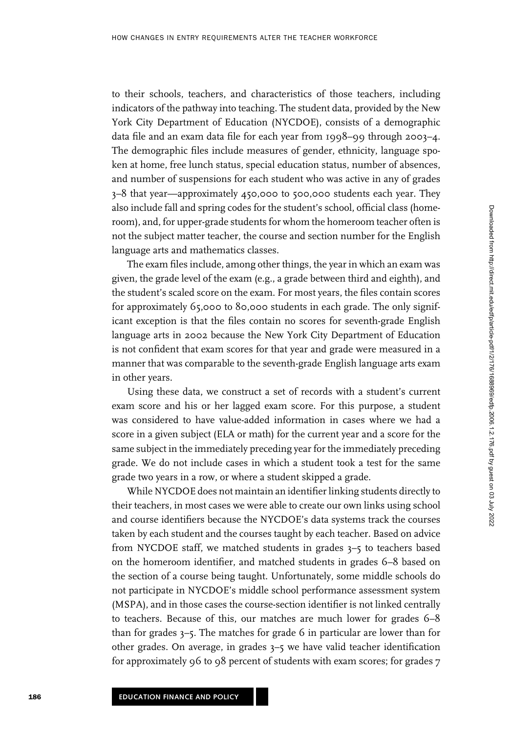to their schools, teachers, and characteristics of those teachers, including indicators of the pathway into teaching. The student data, provided by the New York City Department of Education (NYCDOE), consists of a demographic data file and an exam data file for each year from 1998–99 through 2003–4. The demographic files include measures of gender, ethnicity, language spoken at home, free lunch status, special education status, number of absences, and number of suspensions for each student who was active in any of grades 3–8 that year—approximately 450,000 to 500,000 students each year. They also include fall and spring codes for the student's school, official class (homeroom), and, for upper-grade students for whom the homeroom teacher often is not the subject matter teacher, the course and section number for the English language arts and mathematics classes.

The exam files include, among other things, the year in which an exam was given, the grade level of the exam (e.g., a grade between third and eighth), and the student's scaled score on the exam. For most years, the files contain scores for approximately 65,000 to 80,000 students in each grade. The only significant exception is that the files contain no scores for seventh-grade English language arts in 2002 because the New York City Department of Education is not confident that exam scores for that year and grade were measured in a manner that was comparable to the seventh-grade English language arts exam in other years.

Using these data, we construct a set of records with a student's current exam score and his or her lagged exam score. For this purpose, a student was considered to have value-added information in cases where we had a score in a given subject (ELA or math) for the current year and a score for the same subject in the immediately preceding year for the immediately preceding grade. We do not include cases in which a student took a test for the same grade two years in a row, or where a student skipped a grade.

While NYCDOE does not maintain an identifier linking students directly to their teachers, in most cases we were able to create our own links using school and course identifiers because the NYCDOE's data systems track the courses taken by each student and the courses taught by each teacher. Based on advice from NYCDOE staff, we matched students in grades 3–5 to teachers based on the homeroom identifier, and matched students in grades 6–8 based on the section of a course being taught. Unfortunately, some middle schools do not participate in NYCDOE's middle school performance assessment system (MSPA), and in those cases the course-section identifier is not linked centrally to teachers. Because of this, our matches are much lower for grades 6–8 than for grades 3–5. The matches for grade 6 in particular are lower than for other grades. On average, in grades 3–5 we have valid teacher identification for approximately 96 to 98 percent of students with exam scores; for grades 7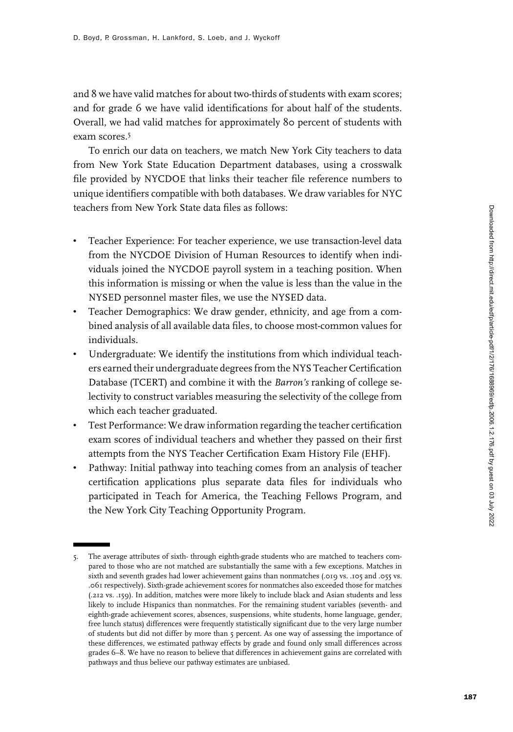and 8 we have valid matches for about two-thirds of students with exam scores; and for grade 6 we have valid identifications for about half of the students. Overall, we had valid matches for approximately 80 percent of students with exam scores.<sup>5</sup>

To enrich our data on teachers, we match New York City teachers to data from New York State Education Department databases, using a crosswalk file provided by NYCDOE that links their teacher file reference numbers to unique identifiers compatible with both databases. We draw variables for NYC teachers from New York State data files as follows:

- Teacher Experience: For teacher experience, we use transaction-level data from the NYCDOE Division of Human Resources to identify when individuals joined the NYCDOE payroll system in a teaching position. When this information is missing or when the value is less than the value in the NYSED personnel master files, we use the NYSED data.
- Teacher Demographics: We draw gender, ethnicity, and age from a combined analysis of all available data files, to choose most-common values for individuals.
- Undergraduate: We identify the institutions from which individual teachers earned their undergraduate degrees from the NYS Teacher Certification Database (TCERT) and combine it with the *Barron's* ranking of college selectivity to construct variables measuring the selectivity of the college from which each teacher graduated.
- Test Performance: We draw information regarding the teacher certification exam scores of individual teachers and whether they passed on their first attempts from the NYS Teacher Certification Exam History File (EHF).
- Pathway: Initial pathway into teaching comes from an analysis of teacher certification applications plus separate data files for individuals who participated in Teach for America, the Teaching Fellows Program, and the New York City Teaching Opportunity Program.

<sup>5.</sup> The average attributes of sixth- through eighth-grade students who are matched to teachers compared to those who are not matched are substantially the same with a few exceptions. Matches in sixth and seventh grades had lower achievement gains than nonmatches (.019 vs. .105 and .055 vs. .061 respectively). Sixth-grade achievement scores for nonmatches also exceeded those for matches (.212 vs. .159). In addition, matches were more likely to include black and Asian students and less likely to include Hispanics than nonmatches. For the remaining student variables (seventh- and eighth-grade achievement scores, absences, suspensions, white students, home language, gender, free lunch status) differences were frequently statistically significant due to the very large number of students but did not differ by more than 5 percent. As one way of assessing the importance of these differences, we estimated pathway effects by grade and found only small differences across grades 6–8. We have no reason to believe that differences in achievement gains are correlated with pathways and thus believe our pathway estimates are unbiased.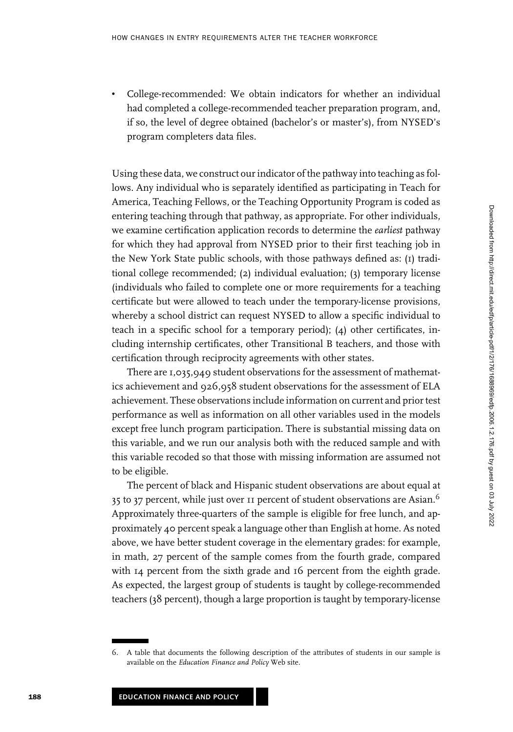College-recommended: We obtain indicators for whether an individual had completed a college-recommended teacher preparation program, and, if so, the level of degree obtained (bachelor's or master's), from NYSED's program completers data files.

Using these data, we construct our indicator of the pathway into teaching as follows. Any individual who is separately identified as participating in Teach for America, Teaching Fellows, or the Teaching Opportunity Program is coded as entering teaching through that pathway, as appropriate. For other individuals, we examine certification application records to determine the *earliest* pathway for which they had approval from NYSED prior to their first teaching job in the New York State public schools, with those pathways defined as: (1) traditional college recommended; (2) individual evaluation; (3) temporary license (individuals who failed to complete one or more requirements for a teaching certificate but were allowed to teach under the temporary-license provisions, whereby a school district can request NYSED to allow a specific individual to teach in a specific school for a temporary period); (4) other certificates, including internship certificates, other Transitional B teachers, and those with certification through reciprocity agreements with other states.

There are 1,035,949 student observations for the assessment of mathematics achievement and 926,958 student observations for the assessment of ELA achievement. These observations include information on current and prior test performance as well as information on all other variables used in the models except free lunch program participation. There is substantial missing data on this variable, and we run our analysis both with the reduced sample and with this variable recoded so that those with missing information are assumed not to be eligible.

The percent of black and Hispanic student observations are about equal at 35 to 37 percent, while just over  $\overline{11}$  percent of student observations are Asian.<sup>6</sup> Approximately three-quarters of the sample is eligible for free lunch, and approximately 40 percent speak a language other than English at home. As noted above, we have better student coverage in the elementary grades: for example, in math, 27 percent of the sample comes from the fourth grade, compared with 14 percent from the sixth grade and 16 percent from the eighth grade. As expected, the largest group of students is taught by college-recommended teachers (38 percent), though a large proportion is taught by temporary-license

<sup>6.</sup> A table that documents the following description of the attributes of students in our sample is available on the *Education Finance and Policy* Web site.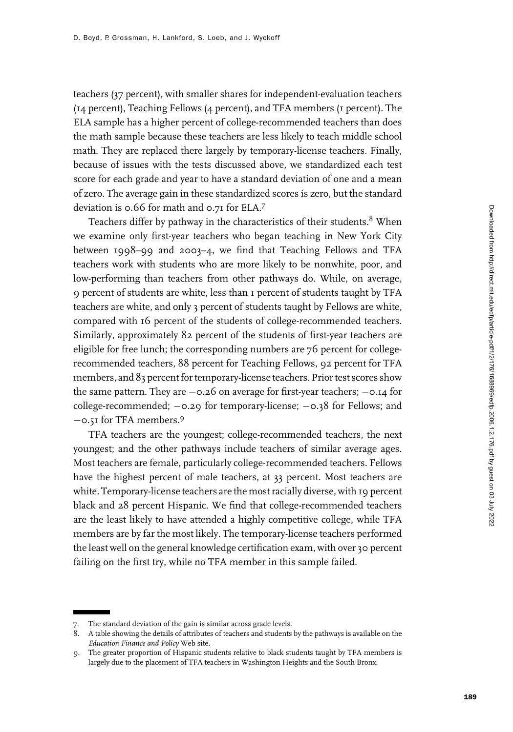teachers (37 percent), with smaller shares for independent-evaluation teachers (14 percent), Teaching Fellows (4 percent), and TFA members (1 percent). The ELA sample has a higher percent of college-recommended teachers than does the math sample because these teachers are less likely to teach middle school math. They are replaced there largely by temporary-license teachers. Finally, because of issues with the tests discussed above, we standardized each test score for each grade and year to have a standard deviation of one and a mean of zero. The average gain in these standardized scores is zero, but the standard deviation is 0.66 for math and 0.71 for ELA.7

Teachers differ by pathway in the characteristics of their students.<sup>8</sup> When we examine only first-year teachers who began teaching in New York City between 1998–99 and 2003–4, we find that Teaching Fellows and TFA teachers work with students who are more likely to be nonwhite, poor, and low-performing than teachers from other pathways do. While, on average, 9 percent of students are white, less than 1 percent of students taught by TFA teachers are white, and only 3 percent of students taught by Fellows are white, compared with 16 percent of the students of college-recommended teachers. Similarly, approximately 82 percent of the students of first-year teachers are eligible for free lunch; the corresponding numbers are 76 percent for collegerecommended teachers, 88 percent for Teaching Fellows, 92 percent for TFA members, and 83 percent for temporary-license teachers. Prior test scores show the same pattern. They are −0.26 on average for first-year teachers; −0.14 for college-recommended; −0.29 for temporary-license; −0.38 for Fellows; and −0.51 for TFA members.<sup>9</sup>

TFA teachers are the youngest; college-recommended teachers, the next youngest; and the other pathways include teachers of similar average ages. Most teachers are female, particularly college-recommended teachers. Fellows have the highest percent of male teachers, at 33 percent. Most teachers are white. Temporary-license teachers are the most racially diverse, with 19 percent black and 28 percent Hispanic. We find that college-recommended teachers are the least likely to have attended a highly competitive college, while TFA members are by far the most likely. The temporary-license teachers performed the least well on the general knowledge certification exam, with over 30 percent failing on the first try, while no TFA member in this sample failed.

The standard deviation of the gain is similar across grade levels.

<sup>8.</sup> A table showing the details of attributes of teachers and students by the pathways is available on the *Education Finance and Policy* Web site.

<sup>9.</sup> The greater proportion of Hispanic students relative to black students taught by TFA members is largely due to the placement of TFA teachers in Washington Heights and the South Bronx.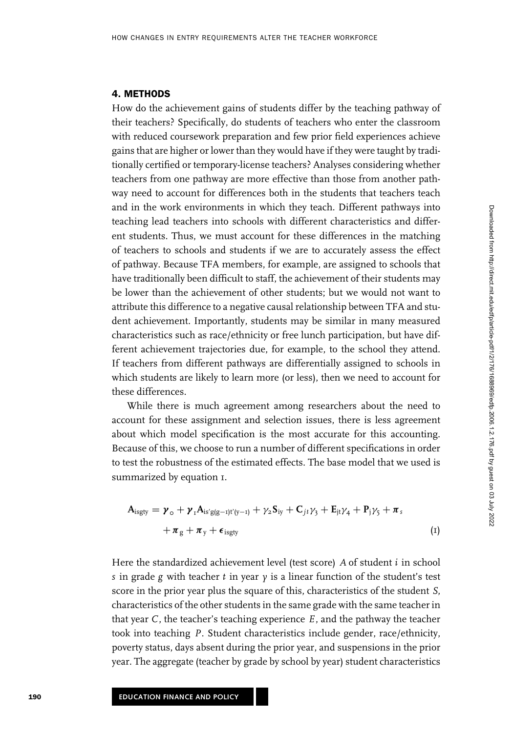# 4. METHODS

How do the achievement gains of students differ by the teaching pathway of their teachers? Specifically, do students of teachers who enter the classroom with reduced coursework preparation and few prior field experiences achieve gains that are higher or lower than they would have if they were taught by traditionally certified or temporary-license teachers? Analyses considering whether teachers from one pathway are more effective than those from another pathway need to account for differences both in the students that teachers teach and in the work environments in which they teach. Different pathways into teaching lead teachers into schools with different characteristics and different students. Thus, we must account for these differences in the matching of teachers to schools and students if we are to accurately assess the effect of pathway. Because TFA members, for example, are assigned to schools that have traditionally been difficult to staff, the achievement of their students may be lower than the achievement of other students; but we would not want to attribute this difference to a negative causal relationship between TFA and student achievement. Importantly, students may be similar in many measured characteristics such as race/ethnicity or free lunch participation, but have different achievement trajectories due, for example, to the school they attend. If teachers from different pathways are differentially assigned to schools in which students are likely to learn more (or less), then we need to account for these differences.

While there is much agreement among researchers about the need to account for these assignment and selection issues, there is less agreement about which model specification is the most accurate for this accounting. Because of this, we choose to run a number of different specifications in order to test the robustness of the estimated effects. The base model that we used is summarized by equation 1.

$$
\mathbf{A}_{\text{isgty}} = \boldsymbol{\gamma}_{\text{o}} + \boldsymbol{\gamma}_{\text{r}} \mathbf{A}_{\text{is}^{\prime} g(g-\text{r})f'(y-\text{r})} + \gamma_{2} \mathbf{S}_{\text{iy}} + \mathbf{C}_{jt} \gamma_{3} + \mathbf{E}_{\text{jt}} \gamma_{4} + \mathbf{P}_{j} \gamma_{5} + \boldsymbol{\pi}_{s} + \boldsymbol{\pi}_{g} + \boldsymbol{\pi}_{y} + \boldsymbol{\epsilon}_{\text{isgty}}
$$
\n(1)

Here the standardized achievement level (test score) *A* of student *i* in school *s* in grade *g* with teacher *t* in year *y* is a linear function of the student's test score in the prior year plus the square of this, characteristics of the student *S* , characteristics of the other students in the same grade with the same teacher in that year *C*, the teacher's teaching experience *E*, and the pathway the teacher took into teaching *P*. Student characteristics include gender, race/ethnicity, poverty status, days absent during the prior year, and suspensions in the prior year. The aggregate (teacher by grade by school by year) student characteristics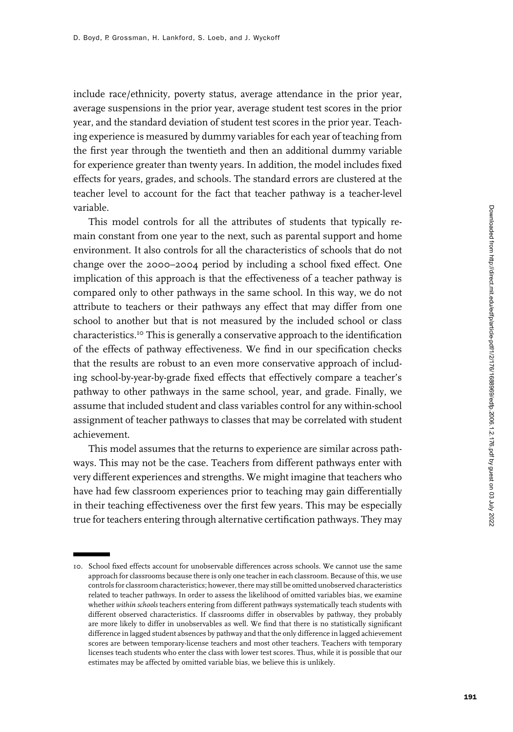include race/ethnicity, poverty status, average attendance in the prior year, average suspensions in the prior year, average student test scores in the prior year, and the standard deviation of student test scores in the prior year. Teaching experience is measured by dummy variables for each year of teaching from the first year through the twentieth and then an additional dummy variable for experience greater than twenty years. In addition, the model includes fixed effects for years, grades, and schools. The standard errors are clustered at the teacher level to account for the fact that teacher pathway is a teacher-level variable.

This model controls for all the attributes of students that typically remain constant from one year to the next, such as parental support and home environment. It also controls for all the characteristics of schools that do not change over the 2000–2004 period by including a school fixed effect. One implication of this approach is that the effectiveness of a teacher pathway is compared only to other pathways in the same school. In this way, we do not attribute to teachers or their pathways any effect that may differ from one school to another but that is not measured by the included school or class characteristics.10 This is generally a conservative approach to the identification of the effects of pathway effectiveness. We find in our specification checks that the results are robust to an even more conservative approach of including school-by-year-by-grade fixed effects that effectively compare a teacher's pathway to other pathways in the same school, year, and grade. Finally, we assume that included student and class variables control for any within-school assignment of teacher pathways to classes that may be correlated with student achievement.

This model assumes that the returns to experience are similar across pathways. This may not be the case. Teachers from different pathways enter with very different experiences and strengths. We might imagine that teachers who have had few classroom experiences prior to teaching may gain differentially in their teaching effectiveness over the first few years. This may be especially true for teachers entering through alternative certification pathways. They may

<sup>10.</sup> School fixed effects account for unobservable differences across schools. We cannot use the same approach for classrooms because there is only one teacher in each classroom. Because of this, we use controls for classroom characteristics; however, there may still be omitted unobserved characteristics related to teacher pathways. In order to assess the likelihood of omitted variables bias, we examine whether *within schools* teachers entering from different pathways systematically teach students with different observed characteristics. If classrooms differ in observables by pathway, they probably are more likely to differ in unobservables as well. We find that there is no statistically significant difference in lagged student absences by pathway and that the only difference in lagged achievement scores are between temporary-license teachers and most other teachers. Teachers with temporary licenses teach students who enter the class with lower test scores. Thus, while it is possible that our estimates may be affected by omitted variable bias, we believe this is unlikely.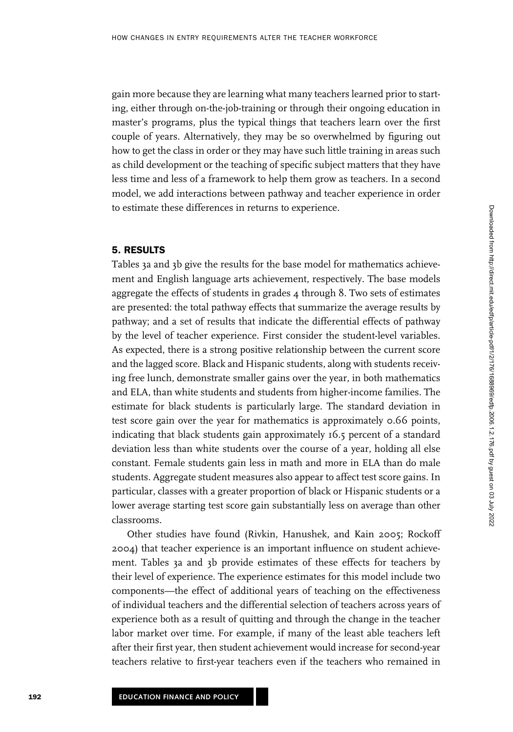gain more because they are learning what many teachers learned prior to starting, either through on-the-job-training or through their ongoing education in master's programs, plus the typical things that teachers learn over the first couple of years. Alternatively, they may be so overwhelmed by figuring out how to get the class in order or they may have such little training in areas such as child development or the teaching of specific subject matters that they have less time and less of a framework to help them grow as teachers. In a second model, we add interactions between pathway and teacher experience in order to estimate these differences in returns to experience.

# 5. RESULTS

Tables 3a and 3b give the results for the base model for mathematics achievement and English language arts achievement, respectively. The base models aggregate the effects of students in grades 4 through 8. Two sets of estimates are presented: the total pathway effects that summarize the average results by pathway; and a set of results that indicate the differential effects of pathway by the level of teacher experience. First consider the student-level variables. As expected, there is a strong positive relationship between the current score and the lagged score. Black and Hispanic students, along with students receiving free lunch, demonstrate smaller gains over the year, in both mathematics and ELA, than white students and students from higher-income families. The estimate for black students is particularly large. The standard deviation in test score gain over the year for mathematics is approximately 0.66 points, indicating that black students gain approximately 16.5 percent of a standard deviation less than white students over the course of a year, holding all else constant. Female students gain less in math and more in ELA than do male students. Aggregate student measures also appear to affect test score gains. In particular, classes with a greater proportion of black or Hispanic students or a lower average starting test score gain substantially less on average than other classrooms.

Other studies have found (Rivkin, Hanushek, and Kain 2005; Rockoff 2004) that teacher experience is an important influence on student achievement. Tables 3a and 3b provide estimates of these effects for teachers by their level of experience. The experience estimates for this model include two components—the effect of additional years of teaching on the effectiveness of individual teachers and the differential selection of teachers across years of experience both as a result of quitting and through the change in the teacher labor market over time. For example, if many of the least able teachers left after their first year, then student achievement would increase for second-year teachers relative to first-year teachers even if the teachers who remained in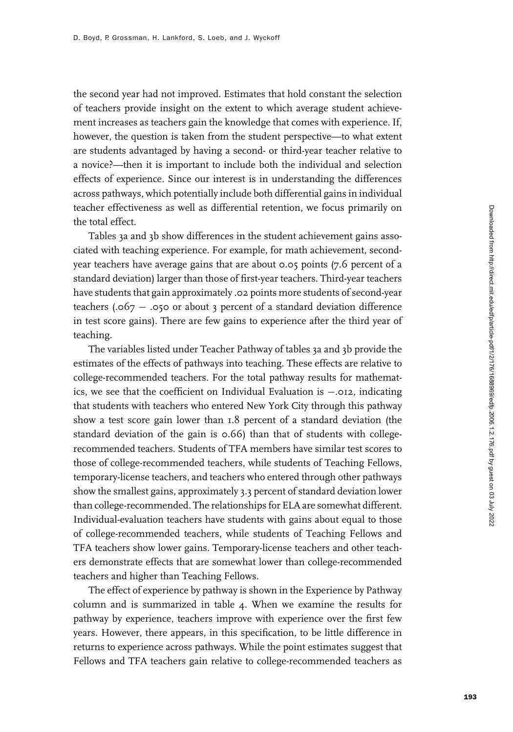the second year had not improved. Estimates that hold constant the selection of teachers provide insight on the extent to which average student achievement increases as teachers gain the knowledge that comes with experience. If, however, the question is taken from the student perspective—to what extent are students advantaged by having a second- or third-year teacher relative to a novice?—then it is important to include both the individual and selection effects of experience. Since our interest is in understanding the differences across pathways, which potentially include both differential gains in individual teacher effectiveness as well as differential retention, we focus primarily on the total effect.

Tables 3a and 3b show differences in the student achievement gains associated with teaching experience. For example, for math achievement, secondyear teachers have average gains that are about 0.05 points (7.6 percent of a standard deviation) larger than those of first-year teachers. Third-year teachers have students that gain approximately .02 points more students of second-year teachers (.067 − .050 or about 3 percent of a standard deviation difference in test score gains). There are few gains to experience after the third year of teaching.

The variables listed under Teacher Pathway of tables 3a and 3b provide the estimates of the effects of pathways into teaching. These effects are relative to college-recommended teachers. For the total pathway results for mathematics, we see that the coefficient on Individual Evaluation is −.012, indicating that students with teachers who entered New York City through this pathway show a test score gain lower than 1.8 percent of a standard deviation (the standard deviation of the gain is 0.66) than that of students with collegerecommended teachers. Students of TFA members have similar test scores to those of college-recommended teachers, while students of Teaching Fellows, temporary-license teachers, and teachers who entered through other pathways show the smallest gains, approximately 3.3 percent of standard deviation lower than college-recommended. The relationships for ELA are somewhat different. Individual-evaluation teachers have students with gains about equal to those of college-recommended teachers, while students of Teaching Fellows and TFA teachers show lower gains. Temporary-license teachers and other teachers demonstrate effects that are somewhat lower than college-recommended teachers and higher than Teaching Fellows.

The effect of experience by pathway is shown in the Experience by Pathway column and is summarized in table 4. When we examine the results for pathway by experience, teachers improve with experience over the first few years. However, there appears, in this specification, to be little difference in returns to experience across pathways. While the point estimates suggest that Fellows and TFA teachers gain relative to college-recommended teachers as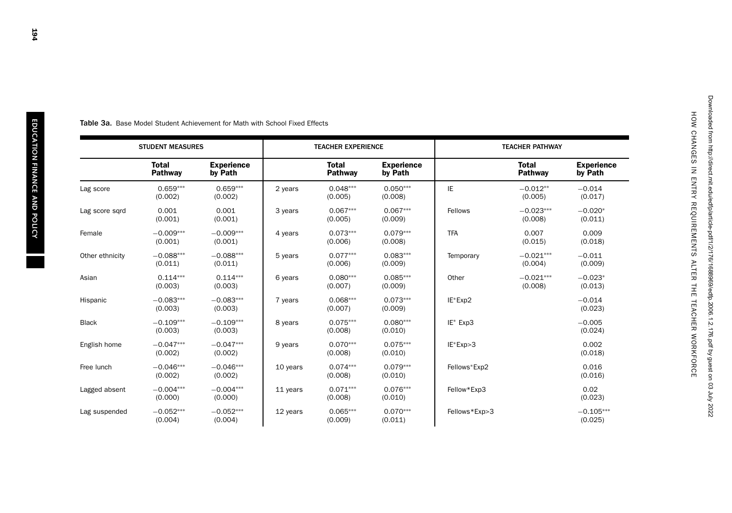|                 | <b>STUDENT MEASURES</b> |                              |          | <b>TEACHER EXPERIENCE</b> |                              | <b>TEACHER PATHWAY</b> |                        |                              |
|-----------------|-------------------------|------------------------------|----------|---------------------------|------------------------------|------------------------|------------------------|------------------------------|
|                 | Total<br>Pathway        | <b>Experience</b><br>by Path |          | <b>Total</b><br>Pathway   | <b>Experience</b><br>by Path |                        | Total<br>Pathway       | <b>Experience</b><br>by Path |
| Lag score       | $0.659***$<br>(0.002)   | $0.659***$<br>(0.002)        | 2 years  | $0.048***$<br>(0.005)     | $0.050***$<br>(0.008)        | ΙE                     | $-0.012**$<br>(0.005)  | $-0.014$<br>(0.017)          |
| Lag score sqrd  | 0.001<br>(0.001)        | 0.001<br>(0.001)             | 3 years  | $0.067***$<br>(0.005)     | $0.067***$<br>(0.009)        | Fellows                | $-0.023***$<br>(0.008) | $-0.020*$<br>(0.011)         |
| Female          | $-0.009***$<br>(0.001)  | $-0.009***$<br>(0.001)       | 4 years  | $0.073***$<br>(0.006)     | $0.079***$<br>(0.008)        | <b>TFA</b>             | 0.007<br>(0.015)       | 0.009<br>(0.018)             |
| Other ethnicity | $-0.088***$<br>(0.011)  | $-0.088***$<br>(0.011)       | 5 years  | $0.077***$<br>(0.006)     | $0.083***$<br>(0.009)        | Temporary              | $-0.021***$<br>(0.004) | $-0.011$<br>(0.009)          |
| Asian           | $0.114***$<br>(0.003)   | $0.114***$<br>(0.003)        | 6 years  | $0.080***$<br>(0.007)     | $0.085***$<br>(0.009)        | Other                  | $-0.021***$<br>(0.008) | $-0.023*$<br>(0.013)         |
| Hispanic        | $-0.083***$<br>(0.003)  | $-0.083***$<br>(0.003)       | 7 years  | $0.068***$<br>(0.007)     | $0.073***$<br>(0.009)        | IE*Exp2                |                        | $-0.014$<br>(0.023)          |
| <b>Black</b>    | $-0.109***$<br>(0.003)  | $-0.109***$<br>(0.003)       | 8 years  | $0.075***$<br>(0.008)     | $0.080***$<br>(0.010)        | IE* Exp3               |                        | $-0.005$<br>(0.024)          |
| English home    | $-0.047***$<br>(0.002)  | $-0.047***$<br>(0.002)       | 9 years  | $0.070***$<br>(0.008)     | $0.075***$<br>(0.010)        | $IE*Exp>3$             |                        | 0.002<br>(0.018)             |
| Free lunch      | $-0.046***$<br>(0.002)  | $-0.046***$<br>(0.002)       | 10 years | $0.074***$<br>(0.008)     | $0.079***$<br>(0.010)        | Fellows*Exp2           |                        | 0.016<br>(0.016)             |
| Lagged absent   | $-0.004***$<br>(0.000)  | $-0.004***$<br>(0.000)       | 11 years | $0.071***$<br>(0.008)     | $0.076***$<br>(0.010)        | Fellow*Exp3            |                        | 0.02<br>(0.023)              |

Lag suspended <sup>−</sup>0.052∗∗∗ <sup>−</sup>0.052∗∗∗ 12 years 0.065∗∗∗ 0.070∗∗∗ Fellows\*Exp>3 <sup>−</sup>0.105∗∗∗

(0.004) (0.004) (0.009) (0.011) (0.025)

**EDUCATION FINANCE AND POLICY**

EDUCATION FINANCE AND POLICY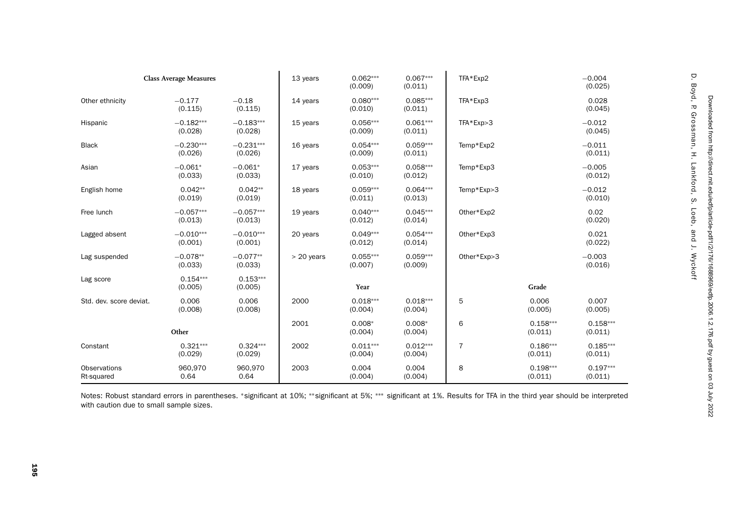|                            | <b>Class Average Measures</b> |                        | 13 years     | $0.062***$<br>(0.009) | $0.067***$<br>(0.011) | TFA*Exp2       |                       | $-0.004$<br>(0.025)   | p<br>Boyd, |
|----------------------------|-------------------------------|------------------------|--------------|-----------------------|-----------------------|----------------|-----------------------|-----------------------|------------|
| Other ethnicity            | $-0.177$<br>(0.115)           | $-0.18$<br>(0.115)     | 14 years     | $0.080***$<br>(0.010) | $0.085***$<br>(0.011) | TFA*Exp3       |                       | 0.028<br>(0.045)      | ᠽ          |
| Hispanic                   | $-0.182***$<br>(0.028)        | $-0.183***$<br>(0.028) | 15 years     | $0.056***$<br>(0.009) | $0.061***$<br>(0.011) | TFA*Exp>3      |                       | $-0.012$<br>(0.045)   | Grossman,  |
| Black                      | $-0.230***$<br>(0.026)        | $-0.231***$<br>(0.026) | 16 years     | $0.054***$<br>(0.009) | $0.059***$<br>(0.011) | Temp*Exp2      |                       | $-0.011$<br>(0.011)   | Ŧ          |
| Asian                      | $-0.061*$<br>(0.033)          | $-0.061*$<br>(0.033)   | 17 years     | $0.053***$<br>(0.010) | $0.058***$<br>(0.012) | Temp*Exp3      |                       | $-0.005$<br>(0.012)   | Lankford,  |
| English home               | $0.042**$<br>(0.019)          | $0.042**$<br>(0.019)   | 18 years     | $0.059***$<br>(0.011) | $0.064***$<br>(0.013) | Temp*Exp>3     |                       | $-0.012$<br>(0.010)   | .<br>:     |
| Free lunch                 | $-0.057***$<br>(0.013)        | $-0.057***$<br>(0.013) | 19 years     | $0.040***$<br>(0.012) | $0.045***$<br>(0.014) | Other*Exp2     |                       | 0.02<br>(0.020)       | Loeb,      |
| Lagged absent              | $-0.010***$<br>(0.001)        | $-0.010***$<br>(0.001) | 20 years     | $0.049***$<br>(0.012) | $0.054***$<br>(0.014) | Other*Exp3     |                       | 0.021<br>(0.022)      | and J.     |
| Lag suspended              | $-0.078**$<br>(0.033)         | $-0.077**$<br>(0.033)  | $> 20$ years | $0.055***$<br>(0.007) | $0.059***$<br>(0.009) | Other*Exp>3    |                       | $-0.003$<br>(0.016)   | Wyckoff    |
| Lag score                  | $0.154***$<br>(0.005)         | $0.153***$<br>(0.005)  |              | Year                  |                       |                | Grade                 |                       |            |
| Std. dev. score deviat.    | 0.006<br>(0.008)              | 0.006<br>(0.008)       | 2000         | $0.018***$<br>(0.004) | $0.018***$<br>(0.004) | 5              | 0.006<br>(0.005)      | 0.007<br>(0.005)      |            |
|                            | Other                         |                        | 2001         | $0.008*$<br>(0.004)   | $0.008*$<br>(0.004)   | 6              | $0.158***$<br>(0.011) | $0.158***$<br>(0.011) |            |
| Constant                   | $0.321***$<br>(0.029)         | $0.324***$<br>(0.029)  | 2002         | $0.011***$<br>(0.004) | $0.012***$<br>(0.004) | $\overline{7}$ | $0.186***$<br>(0.011) | $0.185***$<br>(0.011) |            |
| Observations<br>Rt-squared | 960,970<br>0.64               | 960,970<br>0.64        | 2003         | 0.004<br>(0.004)      | 0.004<br>(0.004)      | 8              | $0.198***$<br>(0.011) | $0.197***$<br>(0.011) |            |

Notes: Robust standard errors in parentheses. <sup>∗</sup>significant at 10%; ∗∗significant at 5%; ∗∗∗ significant at 1%. Results for TFA in the third year should be interpreted with caution due to small sample sizes.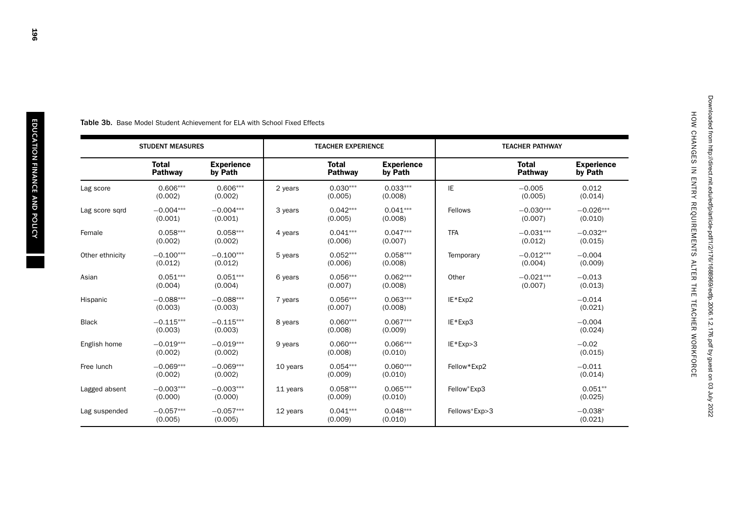|                 | <b>STUDENT MEASURES</b> |                              |          | <b>TEACHER EXPERIENCE</b> |                              | <b>TEACHER PATHWAY</b> |                         |                              |
|-----------------|-------------------------|------------------------------|----------|---------------------------|------------------------------|------------------------|-------------------------|------------------------------|
|                 | <b>Total</b><br>Pathway | <b>Experience</b><br>by Path |          | <b>Total</b><br>Pathway   | <b>Experience</b><br>by Path |                        | <b>Total</b><br>Pathway | <b>Experience</b><br>by Path |
| Lag score       | $0.606***$<br>(0.002)   | $0.606***$<br>(0.002)        | 2 years  | $0.030***$<br>(0.005)     | $0.033***$<br>(0.008)        | IE                     | $-0.005$<br>(0.005)     | 0.012<br>(0.014)             |
| Lag score sqrd  | $-0.004***$<br>(0.001)  | $-0.004***$<br>(0.001)       | 3 years  | $0.042***$<br>(0.005)     | $0.041***$<br>(0.008)        | Fellows                | $-0.030***$<br>(0.007)  | $-0.026***$<br>(0.010)       |
| Female          | $0.058***$<br>(0.002)   | $0.058***$<br>(0.002)        | 4 years  | $0.041***$<br>(0.006)     | $0.047***$<br>(0.007)        | <b>TFA</b>             | $-0.031***$<br>(0.012)  | $-0.032**$<br>(0.015)        |
| Other ethnicity | $-0.100***$<br>(0.012)  | $-0.100***$<br>(0.012)       | 5 years  | $0.052***$<br>(0.006)     | $0.058***$<br>(0.008)        | Temporary              | $-0.012***$<br>(0.004)  | $-0.004$<br>(0.009)          |
| Asian           | $0.051***$<br>(0.004)   | $0.051***$<br>(0.004)        | 6 years  | $0.056***$<br>(0.007)     | $0.062***$<br>(0.008)        | Other                  | $-0.021***$<br>(0.007)  | $-0.013$<br>(0.013)          |
| Hispanic        | $-0.088***$<br>(0.003)  | $-0.088***$<br>(0.003)       | 7 years  | $0.056***$<br>(0.007)     | $0.063***$<br>(0.008)        | IE*Exp2                |                         | $-0.014$<br>(0.021)          |
| <b>Black</b>    | $-0.115***$<br>(0.003)  | $-0.115***$<br>(0.003)       | 8 years  | $0.060***$<br>(0.008)     | $0.067***$<br>(0.009)        | IE*Exp3                |                         | $-0.004$<br>(0.024)          |
| English home    | $-0.019***$<br>(0.002)  | $-0.019***$<br>(0.002)       | 9 years  | $0.060***$<br>(0.008)     | $0.066***$<br>(0.010)        | IE*Exp>3               |                         | $-0.02$<br>(0.015)           |
| Free lunch      | $-0.069***$<br>(0.002)  | $-0.069***$<br>(0.002)       | 10 years | $0.054***$<br>(0.009)     | $0.060***$<br>(0.010)        | Fellow*Exp2            |                         | $-0.011$<br>(0.014)          |
| Lagged absent   | $-0.003***$<br>(0.000)  | $-0.003***$<br>(0.000)       | 11 years | $0.058***$<br>(0.009)     | $0.065***$<br>(0.010)        | Fellow*Exp3            |                         | $0.051**$<br>(0.025)         |
| Lag suspended   | $-0.057***$<br>(0.005)  | $-0.057***$<br>(0.005)       | 12 years | $0.041***$<br>(0.009)     | $0.048***$<br>(0.010)        | Fellows*Exp>3          |                         | $-0.038*$<br>(0.021)         |

**EDUCATION FINANCE AND POLICY**

EDUCATION FINANCE AND POLICY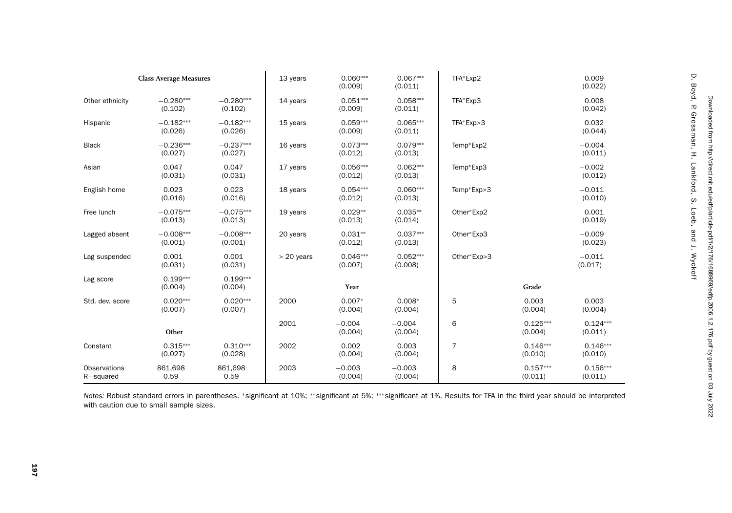| <b>Class Average Measures</b> |                        |                        | 13 years     | $0.060***$<br>(0.009) | $0.067***$<br>(0.011) | TFA*Exp2       |                       | 0.009<br>(0.022)      | p<br>Boyd,    |
|-------------------------------|------------------------|------------------------|--------------|-----------------------|-----------------------|----------------|-----------------------|-----------------------|---------------|
| Other ethnicity               | $-0.280***$<br>(0.102) | $-0.280***$<br>(0.102) | 14 years     | $0.051***$<br>(0.009) | $0.058***$<br>(0.011) | TFA*Exp3       |                       | 0.008<br>(0.042)      | ᡕ             |
| Hispanic                      | $-0.182***$<br>(0.026) | $-0.182***$<br>(0.026) | 15 years     | $0.059***$<br>(0.009) | $0.065***$<br>(0.011) | TFA*Exp>3      |                       | 0.032<br>(0.044)      | Gross<br>ew   |
| Black                         | $-0.236***$<br>(0.027) | $-0.237***$<br>(0.027) | 16 years     | $0.073***$<br>(0.012) | $0.079***$<br>(0.013) | Temp*Exp2      |                       | $-0.004$<br>(0.011)   | Ŧ             |
| Asian                         | 0.047<br>(0.031)       | 0.047<br>(0.031)       | 17 years     | $0.056***$<br>(0.012) | $0.062***$<br>(0.013) | Temp*Exp3      |                       | $-0.002$<br>(0.012)   | Lankford,     |
| English home                  | 0.023<br>(0.016)       | 0.023<br>(0.016)       | 18 years     | $0.054***$<br>(0.012) | $0.060***$<br>(0.013) | Temp*Exp>3     |                       | $-0.011$<br>(0.010)   | ίù.           |
| Free lunch                    | $-0.075***$<br>(0.013) | $-0.075***$<br>(0.013) | 19 years     | $0.029**$<br>(0.013)  | $0.035**$<br>(0.014)  | Other*Exp2     |                       | 0.001<br>(0.019)      | Loeb,         |
| Lagged absent                 | $-0.008***$<br>(0.001) | $-0.008***$<br>(0.001) | 20 years     | $0.031**$<br>(0.012)  | $0.037***$<br>(0.013) | Other*Exp3     |                       | $-0.009$<br>(0.023)   | and<br>$\div$ |
| Lag suspended                 | 0.001<br>(0.031)       | 0.001<br>(0.031)       | $> 20$ years | $0.046***$<br>(0.007) | $0.052***$<br>(0.008) | Other*Exp>3    |                       | $-0.011$<br>(0.017)   | Wyckoff       |
| Lag score                     | $0.199***$<br>(0.004)  | $0.199***$<br>(0.004)  |              | Year                  |                       |                | Grade                 |                       |               |
| Std. dev. score               | $0.020***$<br>(0.007)  | $0.020***$<br>(0.007)  | 2000         | $0.007*$<br>(0.004)   | $0.008*$<br>(0.004)   | 5              | 0.003<br>(0.004)      | 0.003<br>(0.004)      |               |
|                               | Other                  |                        | 2001         | $-0.004$<br>(0.004)   | $-0.004$<br>(0.004)   | 6              | $0.125***$<br>(0.004) | $0.124***$<br>(0.011) |               |
| Constant                      | $0.315***$<br>(0.027)  | $0.310***$<br>(0.028)  | 2002         | 0.002<br>(0.004)      | 0.003<br>(0.004)      | $\overline{7}$ | $0.146***$<br>(0.010) | $0.146***$<br>(0.010) |               |
| Observations<br>R-squared     | 861,698<br>0.59        | 861,698<br>0.59        | 2003         | $-0.003$<br>(0.004)   | $-0.003$<br>(0.004)   | 8              | $0.157***$<br>(0.011) | $0.156***$<br>(0.011) |               |

*Notes:* Robust standard errors in parentheses. <sup>∗</sup>significant at 10%; ∗∗significant at 5%; ∗∗∗significant at 1%. Results for TFA in the third year should be interpreted with caution due to small sample sizes.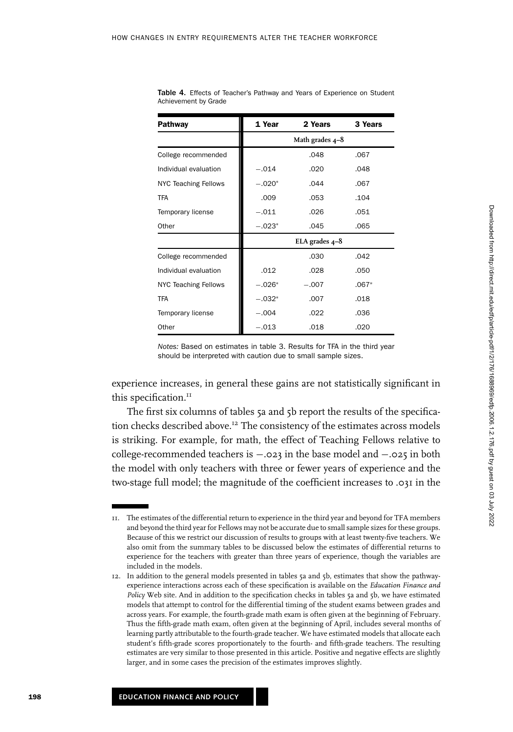| Pathway                     | 1 Year   | 2 Years         | 3 Years |
|-----------------------------|----------|-----------------|---------|
|                             |          | Math grades 4-8 |         |
| College recommended         |          | .048            | .067    |
| Individual evaluation       | $-.014$  | .020            | .048    |
| NYC Teaching Fellows        | $-.020*$ | .044            | .067    |
| <b>TFA</b>                  | .009     | .053            | .104    |
| Temporary license           | $-.011$  | .026            | .051    |
| Other                       | $-.023*$ | .045            | .065    |
|                             |          | ELA grades 4-8  |         |
| College recommended         |          | .030            | .042    |
| Individual evaluation       | .012     | .028            | .050    |
| <b>NYC Teaching Fellows</b> | $-.026*$ | $-.007$         | $.067*$ |
| <b>TFA</b>                  | $-.032*$ | .007            | .018    |
| Temporary license           | $-.004$  | .022            | .036    |
| Other                       | $-.013$  | .018            | .020    |

Table 4. Effects of Teacher's Pathway and Years of Experience on Student Achievement by Grade

*Notes:* Based on estimates in table 3. Results for TFA in the third year should be interpreted with caution due to small sample sizes.

experience increases, in general these gains are not statistically significant in this specification.<sup>11</sup>

The first six columns of tables 5a and 5b report the results of the specification checks described above.<sup>12</sup> The consistency of the estimates across models is striking. For example, for math, the effect of Teaching Fellows relative to college-recommended teachers is −.023 in the base model and −.025 in both the model with only teachers with three or fewer years of experience and the two-stage full model; the magnitude of the coefficient increases to .031 in the

<sup>11.</sup> The estimates of the differential return to experience in the third year and beyond for TFA members and beyond the third year for Fellows may not be accurate due to small sample sizes for these groups. Because of this we restrict our discussion of results to groups with at least twenty-five teachers. We also omit from the summary tables to be discussed below the estimates of differential returns to experience for the teachers with greater than three years of experience, though the variables are included in the models.

<sup>12.</sup> In addition to the general models presented in tables 5a and 5b, estimates that show the pathwayexperience interactions across each of these specification is available on the *Education Finance and Policy* Web site. And in addition to the specification checks in tables 5a and 5b, we have estimated models that attempt to control for the differential timing of the student exams between grades and across years. For example, the fourth-grade math exam is often given at the beginning of February. Thus the fifth-grade math exam, often given at the beginning of April, includes several months of learning partly attributable to the fourth-grade teacher. We have estimated models that allocate each student's fifth-grade scores proportionately to the fourth- and fifth-grade teachers. The resulting estimates are very similar to those presented in this article. Positive and negative effects are slightly larger, and in some cases the precision of the estimates improves slightly.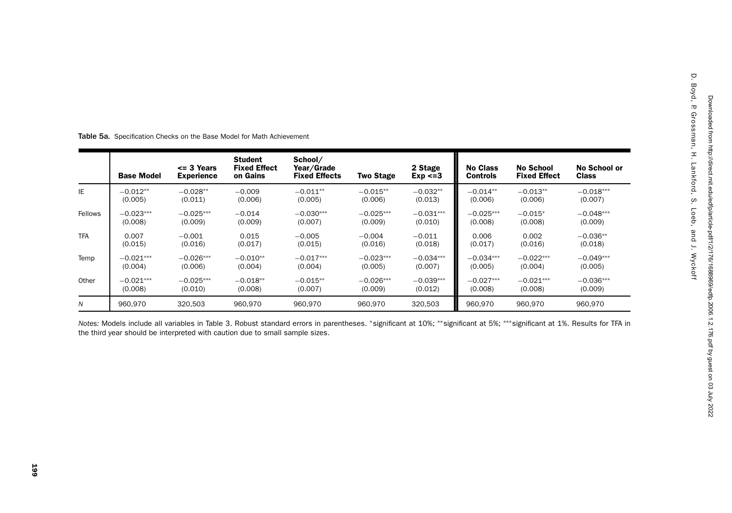| Downloaded from http://direct.mit.edu/edfp/article-pdf/172176/16896969/edfp.2176.pdf by guest on 03 July 2022 |
|---------------------------------------------------------------------------------------------------------------|
| /d, Р. Оконавия, Н. Lankford, S. Loeb, and J. Wyckoft                                                         |

|                |                   |                                    | Table 5a. Specification Checks on the Base Model for Math Achievement |                                               |                  |                         |                                    |                                         |                              |
|----------------|-------------------|------------------------------------|-----------------------------------------------------------------------|-----------------------------------------------|------------------|-------------------------|------------------------------------|-----------------------------------------|------------------------------|
|                | <b>Base Model</b> | $<$ = 3 Years<br><b>Experience</b> | <b>Student</b><br><b>Fixed Effect</b><br>on Gains                     | School/<br>Year/Grade<br><b>Fixed Effects</b> | <b>Two Stage</b> | 2 Stage<br>$Exp \leq 3$ | <b>No Class</b><br><b>Controls</b> | <b>No School</b><br><b>Fixed Effect</b> | No School or<br><b>Class</b> |
| IE             | $-0.012**$        | $-0.028**$                         | $-0.009$                                                              | $-0.011**$                                    | $-0.015**$       | $-0.032**$              | $-0.014**$                         | $-0.013**$                              | $-0.018***$                  |
|                | (0.005)           | (0.011)                            | (0.006)                                                               | (0.005)                                       | (0.006)          | (0.013)                 | (0.006)                            | (0.006)                                 | (0.007)                      |
| Fellows        | $-0.023***$       | $-0.025***$                        | $-0.014$                                                              | $-0.030***$                                   | $-0.025***$      | $-0.031***$             | $-0.025***$                        | $-0.015*$                               | $-0.048***$                  |
|                | (0.008)           | (0.009)                            | (0.009)                                                               | (0.007)                                       | (0.009)          | (0.010)                 | (0.008)                            | (0.008)                                 | (0.009)                      |
| <b>TFA</b>     | 0.007             | $-0.001$                           | 0.015                                                                 | $-0.005$                                      | $-0.004$         | $-0.011$                | 0.006                              | 0.002                                   | $-0.036**$                   |
|                | (0.015)           | (0.016)                            | (0.017)                                                               | (0.015)                                       | (0.016)          | (0.018)                 | (0.017)                            | (0.016)                                 | (0.018)                      |
| Temp           | $-0.021***$       | $-0.026***$                        | $-0.010**$                                                            | $-0.017***$                                   | $-0.023***$      | $-0.034***$             | $-0.034***$                        | $-0.022***$                             | $-0.049***$                  |
|                | (0.004)           | (0.006)                            | (0.004)                                                               | (0.004)                                       | (0.005)          | (0.007)                 | (0.005)                            | (0.004)                                 | (0.005)                      |
| Other          | $-0.021***$       | $-0.025***$                        | $-0.018**$                                                            | $-0.015**$                                    | $-0.026***$      | $-0.039***$             | $-0.027***$                        | $-0.021***$                             | $-0.036***$                  |
|                | (0.008)           | (0.010)                            | (0.008)                                                               | (0.007)                                       | (0.009)          | (0.012)                 | (0.008)                            | (0.008)                                 | (0.009)                      |
| $\overline{N}$ | 960,970           | 320,503                            | 960,970                                                               | 960,970                                       | 960,970          | 320,503                 | 960,970                            | 960,970                                 | 960,970                      |

*Notes:* Models include all variables in Table 3. Robust standard errors in parentheses. <sup>∗</sup>significant at 10%; ∗∗significant at 5%; ∗∗∗significant at 1%. Results for TFA in the third year should be interpreted with caution due to small sample sizes.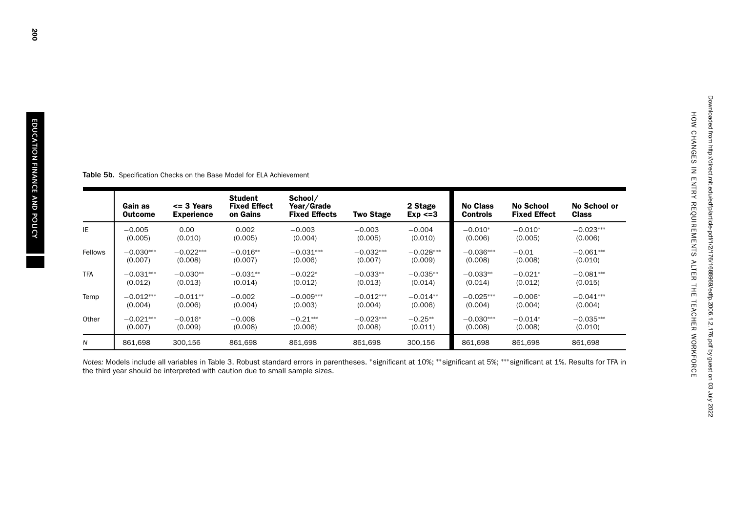| ecks |           |
|------|-----------|
|      | <=<br>Exp |
|      | 0<br>(0)  |
|      | -0<br>(0) |

|         |                           |                                 | Table 5b. Specification Checks on the Base Model for ELA Achievement |                                               |                  |                         |                                    |                                         |                              |
|---------|---------------------------|---------------------------------|----------------------------------------------------------------------|-----------------------------------------------|------------------|-------------------------|------------------------------------|-----------------------------------------|------------------------------|
|         | Gain as<br><b>Outcome</b> | <= 3 Years<br><b>Experience</b> | <b>Student</b><br><b>Fixed Effect</b><br>on Gains                    | School/<br>Year/Grade<br><b>Fixed Effects</b> | <b>Two Stage</b> | 2 Stage<br>$Exp \leq 3$ | <b>No Class</b><br><b>Controls</b> | <b>No School</b><br><b>Fixed Effect</b> | No School or<br><b>Class</b> |
| IE      | $-0.005$                  | 0.00                            | 0.002                                                                | $-0.003$                                      | $-0.003$         | $-0.004$                | $-0.010*$                          | $-0.010*$                               | $-0.023***$                  |
|         | (0.005)                   | (0.010)                         | (0.005)                                                              | (0.004)                                       | (0.005)          | (0.010)                 | (0.006)                            | (0.005)                                 | (0.006)                      |
| Fellows | $-0.030***$               | $-0.022***$                     | $-0.016**$                                                           | $-0.031***$                                   | $-0.032***$      | $-0.028***$             | $-0.036***$                        | $-0.01$                                 | $-0.061***$                  |
|         | (0.007)                   | (0.008)                         | (0.007)                                                              | (0.006)                                       | (0.007)          | (0.009)                 | (0.008)                            | (0.008)                                 | (0.010)                      |
|         | $-0.031***$               | $-0.030**$                      | $-0.031**$                                                           | $-0.022*$                                     | $-0.033**$       | $-0.035**$              | $-0.033**$                         | $-0.021*$                               | $-0.081***$                  |
|         | (0.012)                   | (0.013)                         | (0.014)                                                              | (0.012)                                       | (0.013)          | (0.014)                 | (0.014)                            | (0.012)                                 | (0.015)                      |
| Temp    | $-0.012***$               | $-0.011**$                      | $-0.002$                                                             | $-0.009***$                                   | $-0.012***$      | $-0.014**$              | $-0.025***$                        | $-0.006*$                               | $-0.041***$                  |
|         | (0.004)                   | (0.006)                         | (0.004)                                                              | (0.003)                                       | (0.004)          | (0.006)                 | (0.004)                            | (0.004)                                 | (0.004)                      |
| Other   | $-0.021***$               | $-0.016*$                       | $-0.008$                                                             | $-0.21***$                                    | $-0.023***$      | $-0.25**$               | $-0.030***$                        | $-0.014*$                               | $-0.035***$                  |
|         | (0.007)                   | (0.009)                         | (0.008)                                                              | (0.006)                                       | (0.008)          | (0.011)                 | (0.008)                            | (0.008)                                 | (0.010)                      |
|         | 861,698                   | 300,156                         | 861,698                                                              | 861,698                                       | 861,698          | 300,156                 | 861.698                            | 861,698                                 | 861,698                      |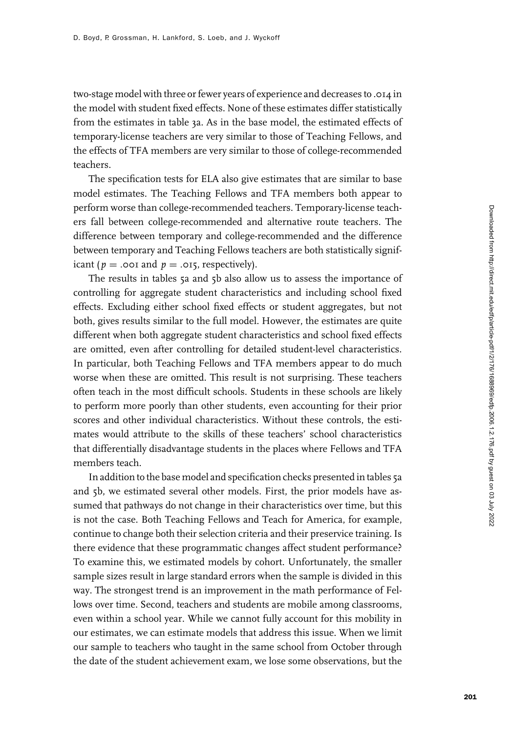two-stage model with three or fewer years of experience and decreases to .014 in the model with student fixed effects. None of these estimates differ statistically from the estimates in table 3a. As in the base model, the estimated effects of temporary-license teachers are very similar to those of Teaching Fellows, and the effects of TFA members are very similar to those of college-recommended teachers.

The specification tests for ELA also give estimates that are similar to base model estimates. The Teaching Fellows and TFA members both appear to perform worse than college-recommended teachers. Temporary-license teachers fall between college-recommended and alternative route teachers. The difference between temporary and college-recommended and the difference between temporary and Teaching Fellows teachers are both statistically significant ( $p = .001$  and  $p = .015$ , respectively).

The results in tables 5a and 5b also allow us to assess the importance of controlling for aggregate student characteristics and including school fixed effects. Excluding either school fixed effects or student aggregates, but not both, gives results similar to the full model. However, the estimates are quite different when both aggregate student characteristics and school fixed effects are omitted, even after controlling for detailed student-level characteristics. In particular, both Teaching Fellows and TFA members appear to do much worse when these are omitted. This result is not surprising. These teachers often teach in the most difficult schools. Students in these schools are likely to perform more poorly than other students, even accounting for their prior scores and other individual characteristics. Without these controls, the estimates would attribute to the skills of these teachers' school characteristics that differentially disadvantage students in the places where Fellows and TFA members teach.

In addition to the base model and specification checks presented in tables 5a and 5b, we estimated several other models. First, the prior models have assumed that pathways do not change in their characteristics over time, but this is not the case. Both Teaching Fellows and Teach for America, for example, continue to change both their selection criteria and their preservice training. Is there evidence that these programmatic changes affect student performance? To examine this, we estimated models by cohort. Unfortunately, the smaller sample sizes result in large standard errors when the sample is divided in this way. The strongest trend is an improvement in the math performance of Fellows over time. Second, teachers and students are mobile among classrooms, even within a school year. While we cannot fully account for this mobility in our estimates, we can estimate models that address this issue. When we limit our sample to teachers who taught in the same school from October through the date of the student achievement exam, we lose some observations, but the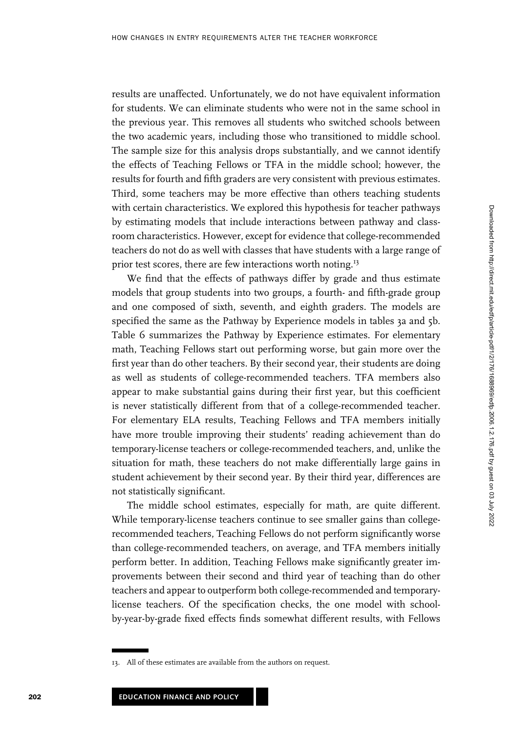results are unaffected. Unfortunately, we do not have equivalent information for students. We can eliminate students who were not in the same school in the previous year. This removes all students who switched schools between the two academic years, including those who transitioned to middle school. The sample size for this analysis drops substantially, and we cannot identify the effects of Teaching Fellows or TFA in the middle school; however, the results for fourth and fifth graders are very consistent with previous estimates. Third, some teachers may be more effective than others teaching students with certain characteristics. We explored this hypothesis for teacher pathways by estimating models that include interactions between pathway and classroom characteristics. However, except for evidence that college-recommended teachers do not do as well with classes that have students with a large range of prior test scores, there are few interactions worth noting.<sup>13</sup>

We find that the effects of pathways differ by grade and thus estimate models that group students into two groups, a fourth- and fifth-grade group and one composed of sixth, seventh, and eighth graders. The models are specified the same as the Pathway by Experience models in tables 3a and 5b. Table 6 summarizes the Pathway by Experience estimates. For elementary math, Teaching Fellows start out performing worse, but gain more over the first year than do other teachers. By their second year, their students are doing as well as students of college-recommended teachers. TFA members also appear to make substantial gains during their first year, but this coefficient is never statistically different from that of a college-recommended teacher. For elementary ELA results, Teaching Fellows and TFA members initially have more trouble improving their students' reading achievement than do temporary-license teachers or college-recommended teachers, and, unlike the situation for math, these teachers do not make differentially large gains in student achievement by their second year. By their third year, differences are not statistically significant.

The middle school estimates, especially for math, are quite different. While temporary-license teachers continue to see smaller gains than collegerecommended teachers, Teaching Fellows do not perform significantly worse than college-recommended teachers, on average, and TFA members initially perform better. In addition, Teaching Fellows make significantly greater improvements between their second and third year of teaching than do other teachers and appear to outperform both college-recommended and temporarylicense teachers. Of the specification checks, the one model with schoolby-year-by-grade fixed effects finds somewhat different results, with Fellows

<sup>13.</sup> All of these estimates are available from the authors on request.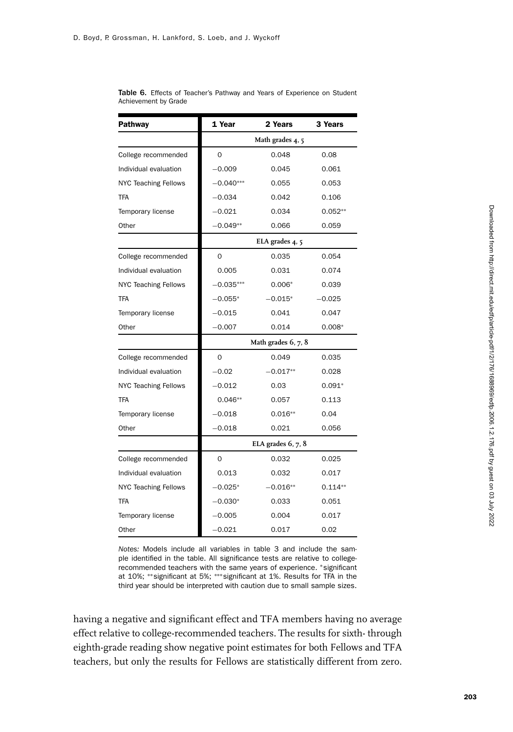| Pathway                     | 1 Year      | 2 Years              | 3 Years   |
|-----------------------------|-------------|----------------------|-----------|
|                             |             | Math grades 4, 5     |           |
| College recommended         | $\Omega$    | 0.048                | 0.08      |
| Individual evaluation       | $-0.009$    | 0.045                | 0.061     |
| <b>NYC Teaching Fellows</b> | $-0.040***$ | 0.055                | 0.053     |
| <b>TFA</b>                  | $-0.034$    | 0.042                | 0.106     |
| Temporary license           | $-0.021$    | 0.034                | $0.052**$ |
| Other                       | $-0.049**$  | 0.066                | 0.059     |
|                             |             | ELA grades 4, 5      |           |
| College recommended         | $\Omega$    | 0.035                | 0.054     |
| Individual evaluation       | 0.005       | 0.031                | 0.074     |
| <b>NYC Teaching Fellows</b> | $-0.035***$ | $0.006*$             | 0.039     |
| <b>TFA</b>                  | $-0.055*$   | $-0.015*$            | $-0.025$  |
| Temporary license           | $-0.015$    | 0.041                | 0.047     |
| Other                       | $-0.007$    | 0.014                | $0.008*$  |
|                             |             | Math grades 6, 7, 8  |           |
| College recommended         | 0           | 0.049                | 0.035     |
| Individual evaluation       | $-0.02$     | $-0.017**$           | 0.028     |
| <b>NYC Teaching Fellows</b> | $-0.012$    | 0.03                 | $0.091*$  |
| TFA                         | $0.046**$   | 0.057                | 0.113     |
| Temporary license           | $-0.018$    | $0.016**$            | 0.04      |
| Other                       | $-0.018$    | 0.021                | 0.056     |
|                             |             | ELA grades $6, 7, 8$ |           |
| College recommended         | $\Omega$    | 0.032                | 0.025     |
| Individual evaluation       | 0.013       | 0.032                | 0.017     |
| <b>NYC Teaching Fellows</b> | $-0.025*$   | $-0.016**$           | $0.114**$ |
| <b>TFA</b>                  | $-0.030*$   | 0.033                | 0.051     |
| Temporary license           | $-0.005$    | 0.004                | 0.017     |
| Other                       | $-0.021$    | 0.017                | 0.02      |

Table 6. Effects of Teacher's Pathway and Years of Experience on Student Achievement by Grade

*Notes:* Models include all variables in table 3 and include the sample identified in the table. All significance tests are relative to collegerecommended teachers with the same years of experience. <sup>∗</sup>significant at 10%; ∗∗significant at 5%; ∗∗∗significant at 1%. Results for TFA in the third year should be interpreted with caution due to small sample sizes.

having a negative and significant effect and TFA members having no average effect relative to college-recommended teachers. The results for sixth- through eighth-grade reading show negative point estimates for both Fellows and TFA teachers, but only the results for Fellows are statistically different from zero.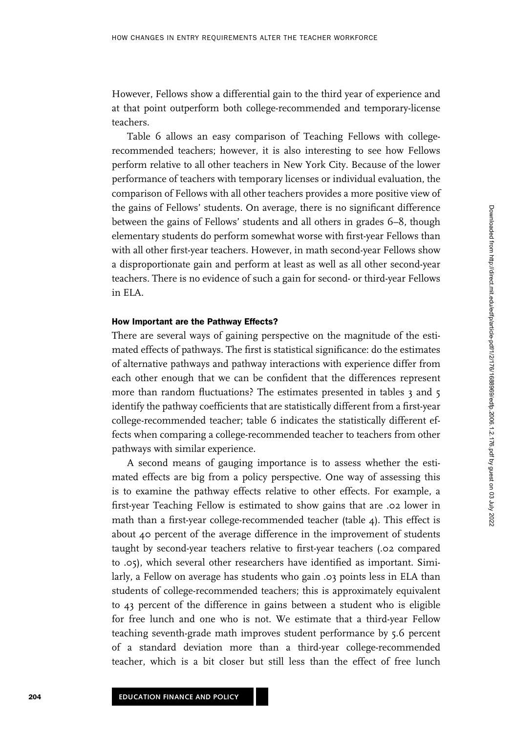However, Fellows show a differential gain to the third year of experience and at that point outperform both college-recommended and temporary-license teachers.

Table 6 allows an easy comparison of Teaching Fellows with collegerecommended teachers; however, it is also interesting to see how Fellows perform relative to all other teachers in New York City. Because of the lower performance of teachers with temporary licenses or individual evaluation, the comparison of Fellows with all other teachers provides a more positive view of the gains of Fellows' students. On average, there is no significant difference between the gains of Fellows' students and all others in grades 6–8, though elementary students do perform somewhat worse with first-year Fellows than with all other first-year teachers. However, in math second-year Fellows show a disproportionate gain and perform at least as well as all other second-year teachers. There is no evidence of such a gain for second- or third-year Fellows in ELA.

### How Important are the Pathway Effects?

There are several ways of gaining perspective on the magnitude of the estimated effects of pathways. The first is statistical significance: do the estimates of alternative pathways and pathway interactions with experience differ from each other enough that we can be confident that the differences represent more than random fluctuations? The estimates presented in tables 3 and 5 identify the pathway coefficients that are statistically different from a first-year college-recommended teacher; table 6 indicates the statistically different effects when comparing a college-recommended teacher to teachers from other pathways with similar experience.

A second means of gauging importance is to assess whether the estimated effects are big from a policy perspective. One way of assessing this is to examine the pathway effects relative to other effects. For example, a first-year Teaching Fellow is estimated to show gains that are .02 lower in math than a first-year college-recommended teacher (table 4). This effect is about 40 percent of the average difference in the improvement of students taught by second-year teachers relative to first-year teachers (.02 compared to .05), which several other researchers have identified as important. Similarly, a Fellow on average has students who gain .03 points less in ELA than students of college-recommended teachers; this is approximately equivalent to 43 percent of the difference in gains between a student who is eligible for free lunch and one who is not. We estimate that a third-year Fellow teaching seventh-grade math improves student performance by 5.6 percent of a standard deviation more than a third-year college-recommended teacher, which is a bit closer but still less than the effect of free lunch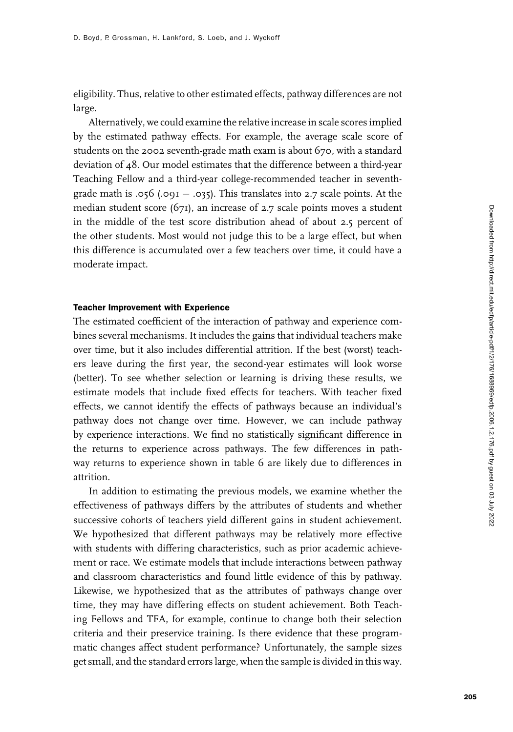eligibility. Thus, relative to other estimated effects, pathway differences are not large.

Alternatively, we could examine the relative increase in scale scores implied by the estimated pathway effects. For example, the average scale score of students on the 2002 seventh-grade math exam is about 670, with a standard deviation of 48. Our model estimates that the difference between a third-year Teaching Fellow and a third-year college-recommended teacher in seventhgrade math is .056 (.091 – .035). This translates into 2.7 scale points. At the median student score (671), an increase of 2.7 scale points moves a student in the middle of the test score distribution ahead of about 2.5 percent of the other students. Most would not judge this to be a large effect, but when this difference is accumulated over a few teachers over time, it could have a moderate impact.

#### Teacher Improvement with Experience

The estimated coefficient of the interaction of pathway and experience combines several mechanisms. It includes the gains that individual teachers make over time, but it also includes differential attrition. If the best (worst) teachers leave during the first year, the second-year estimates will look worse (better). To see whether selection or learning is driving these results, we estimate models that include fixed effects for teachers. With teacher fixed effects, we cannot identify the effects of pathways because an individual's pathway does not change over time. However, we can include pathway by experience interactions. We find no statistically significant difference in the returns to experience across pathways. The few differences in pathway returns to experience shown in table 6 are likely due to differences in attrition.

In addition to estimating the previous models, we examine whether the effectiveness of pathways differs by the attributes of students and whether successive cohorts of teachers yield different gains in student achievement. We hypothesized that different pathways may be relatively more effective with students with differing characteristics, such as prior academic achievement or race. We estimate models that include interactions between pathway and classroom characteristics and found little evidence of this by pathway. Likewise, we hypothesized that as the attributes of pathways change over time, they may have differing effects on student achievement. Both Teaching Fellows and TFA, for example, continue to change both their selection criteria and their preservice training. Is there evidence that these programmatic changes affect student performance? Unfortunately, the sample sizes get small, and the standard errors large, when the sample is divided in this way.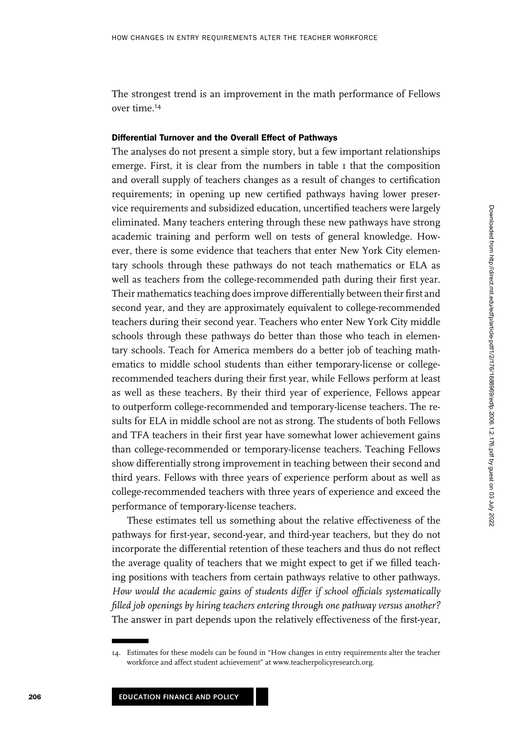The strongest trend is an improvement in the math performance of Fellows over time.<sup>14</sup>

### Differential Turnover and the Overall Effect of Pathways

The analyses do not present a simple story, but a few important relationships emerge. First, it is clear from the numbers in table I that the composition and overall supply of teachers changes as a result of changes to certification requirements; in opening up new certified pathways having lower preservice requirements and subsidized education, uncertified teachers were largely eliminated. Many teachers entering through these new pathways have strong academic training and perform well on tests of general knowledge. However, there is some evidence that teachers that enter New York City elementary schools through these pathways do not teach mathematics or ELA as well as teachers from the college-recommended path during their first year. Their mathematics teaching does improve differentially between their first and second year, and they are approximately equivalent to college-recommended teachers during their second year. Teachers who enter New York City middle schools through these pathways do better than those who teach in elementary schools. Teach for America members do a better job of teaching mathematics to middle school students than either temporary-license or collegerecommended teachers during their first year, while Fellows perform at least as well as these teachers. By their third year of experience, Fellows appear to outperform college-recommended and temporary-license teachers. The results for ELA in middle school are not as strong. The students of both Fellows and TFA teachers in their first year have somewhat lower achievement gains than college-recommended or temporary-license teachers. Teaching Fellows show differentially strong improvement in teaching between their second and third years. Fellows with three years of experience perform about as well as college-recommended teachers with three years of experience and exceed the performance of temporary-license teachers.

These estimates tell us something about the relative effectiveness of the pathways for first-year, second-year, and third-year teachers, but they do not incorporate the differential retention of these teachers and thus do not reflect the average quality of teachers that we might expect to get if we filled teaching positions with teachers from certain pathways relative to other pathways. *How would the academic gains of students differ if school officials systematically filled job openings by hiring teachers entering through one pathway versus another?* The answer in part depends upon the relatively effectiveness of the first-year,

<sup>14.</sup> Estimates for these models can be found in "How changes in entry requirements alter the teacher workforce and affect student achievement" at www.teacherpolicyresearch.org.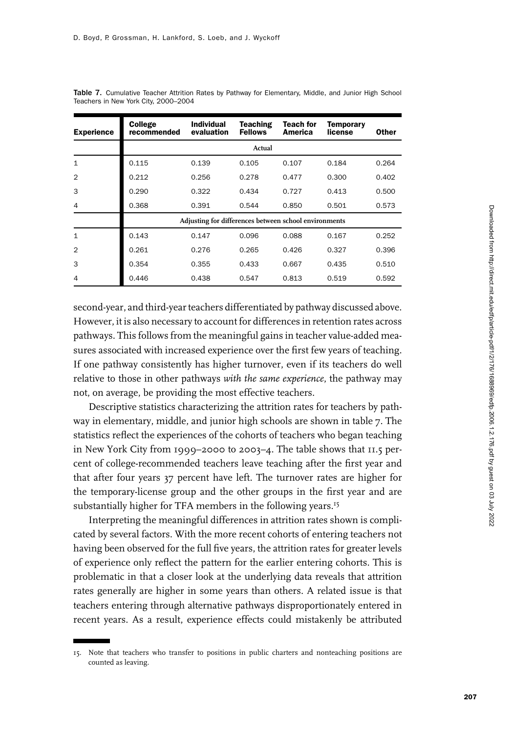| <b>Experience</b> | <b>College</b><br>recommended                         | <b>Individual</b><br>evaluation | <b>Teaching</b><br><b>Fellows</b> | <b>Teach for</b><br>America | Temporary<br>license | <b>Other</b> |  |  |  |  |  |  |  |
|-------------------|-------------------------------------------------------|---------------------------------|-----------------------------------|-----------------------------|----------------------|--------------|--|--|--|--|--|--|--|
|                   | Actual                                                |                                 |                                   |                             |                      |              |  |  |  |  |  |  |  |
| $\mathbf{1}$      | 0.115                                                 | 0.139                           | 0.105                             | 0.107                       | 0.184                | 0.264        |  |  |  |  |  |  |  |
| $\overline{2}$    | 0.212                                                 | 0.256                           | 0.278                             | 0.477                       | 0.300                | 0.402        |  |  |  |  |  |  |  |
| 3                 | 0.290                                                 | 0.322                           | 0.434                             | 0.727                       | 0.413                | 0.500        |  |  |  |  |  |  |  |
| 4                 | 0.368                                                 | 0.391                           | 0.544                             | 0.850                       | 0.501                | 0.573        |  |  |  |  |  |  |  |
|                   | Adjusting for differences between school environments |                                 |                                   |                             |                      |              |  |  |  |  |  |  |  |
| $\mathbf{1}$      | 0.143                                                 | 0.147                           | 0.096                             | 0.088                       | 0.167                | 0.252        |  |  |  |  |  |  |  |
| $\overline{2}$    | 0.261                                                 | 0.276                           | 0.265                             | 0.426                       | 0.327                | 0.396        |  |  |  |  |  |  |  |
| 3                 | 0.354                                                 | 0.355                           | 0.433                             | 0.667                       | 0.435                | 0.510        |  |  |  |  |  |  |  |
| 4                 | 0.446                                                 | 0.438                           | 0.547                             | 0.813                       | 0.519                | 0.592        |  |  |  |  |  |  |  |

Table 7. Cumulative Teacher Attrition Rates by Pathway for Elementary, Middle, and Junior High School Teachers in New York City, 2000–2004

second-year, and third-year teachers differentiated by pathway discussed above. However, it is also necessary to account for differences in retention rates across pathways. This follows from the meaningful gains in teacher value-added measures associated with increased experience over the first few years of teaching. If one pathway consistently has higher turnover, even if its teachers do well relative to those in other pathways *with the same experience*, the pathway may not, on average, be providing the most effective teachers.

Descriptive statistics characterizing the attrition rates for teachers by pathway in elementary, middle, and junior high schools are shown in table 7. The statistics reflect the experiences of the cohorts of teachers who began teaching in New York City from 1999–2000 to 2003–4. The table shows that 11.5 percent of college-recommended teachers leave teaching after the first year and that after four years 37 percent have left. The turnover rates are higher for the temporary-license group and the other groups in the first year and are substantially higher for TFA members in the following years.<sup>15</sup>

Interpreting the meaningful differences in attrition rates shown is complicated by several factors. With the more recent cohorts of entering teachers not having been observed for the full five years, the attrition rates for greater levels of experience only reflect the pattern for the earlier entering cohorts. This is problematic in that a closer look at the underlying data reveals that attrition rates generally are higher in some years than others. A related issue is that teachers entering through alternative pathways disproportionately entered in recent years. As a result, experience effects could mistakenly be attributed

<sup>15.</sup> Note that teachers who transfer to positions in public charters and nonteaching positions are counted as leaving.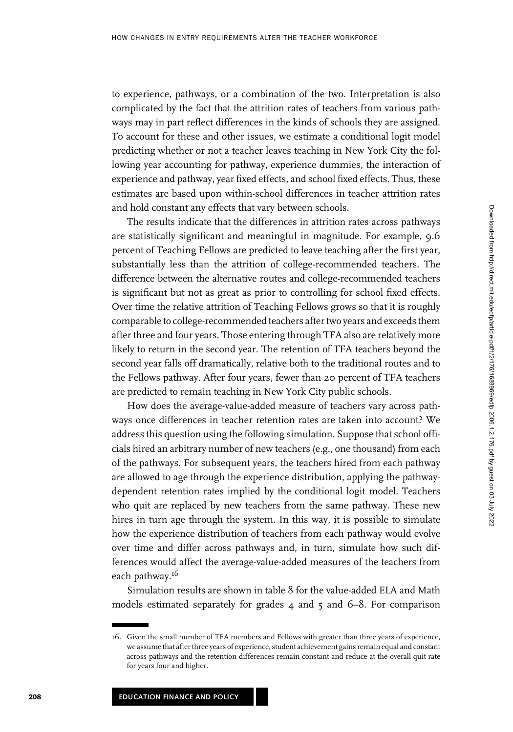to experience, pathways, or a combination of the two. Interpretation is also complicated by the fact that the attrition rates of teachers from various pathways may in part reflect differences in the kinds of schools they are assigned. To account for these and other issues, we estimate a conditional logit model predicting whether or not a teacher leaves teaching in New York City the following year accounting for pathway, experience dummies, the interaction of experience and pathway, year fixed effects, and school fixed effects. Thus, these estimates are based upon within-school differences in teacher attrition rates and hold constant any effects that vary between schools.

The results indicate that the differences in attrition rates across pathways are statistically significant and meaningful in magnitude. For example, 9.6 percent of Teaching Fellows are predicted to leave teaching after the first year, substantially less than the attrition of college-recommended teachers. The difference between the alternative routes and college-recommended teachers is significant but not as great as prior to controlling for school fixed effects. Over time the relative attrition of Teaching Fellows grows so that it is roughly comparable to college-recommended teachers after two years and exceeds them after three and four years. Those entering through TFA also are relatively more likely to return in the second year. The retention of TFA teachers beyond the second year falls off dramatically, relative both to the traditional routes and to the Fellows pathway. After four years, fewer than 20 percent of TFA teachers are predicted to remain teaching in New York City public schools.

How does the average-value-added measure of teachers vary across pathways once differences in teacher retention rates are taken into account? We address this question using the following simulation. Suppose that school officials hired an arbitrary number of new teachers (e.g., one thousand) from each of the pathways. For subsequent years, the teachers hired from each pathway are allowed to age through the experience distribution, applying the pathwaydependent retention rates implied by the conditional logit model. Teachers who quit are replaced by new teachers from the same pathway. These new hires in turn age through the system. In this way, it is possible to simulate how the experience distribution of teachers from each pathway would evolve over time and differ across pathways and, in turn, simulate how such differences would affect the average-value-added measures of the teachers from each pathway.<sup>16</sup>

Simulation results are shown in table 8 for the value-added ELA and Math models estimated separately for grades 4 and 5 and 6–8. For comparison

<sup>16.</sup> Given the small number of TFA members and Fellows with greater than three years of experience, we assume that after three years of experience, student achievement gains remain equal and constant across pathways and the retention differences remain constant and reduce at the overall quit rate for years four and higher.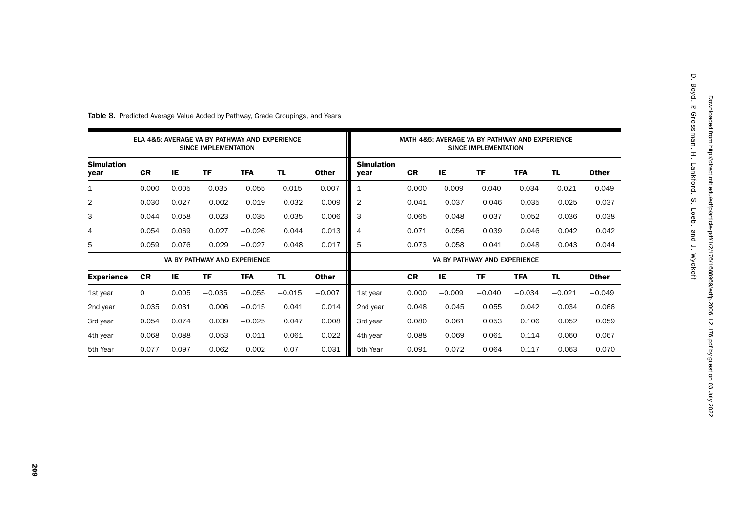|                           |              | ELA 4&5: AVERAGE VA BY PATHWAY AND EXPERIENCE<br><b>SINCE IMPLEMENTATION</b> |                              |            |           |              | MATH 4&5: AVERAGE VA BY PATHWAY AND EXPERIENCE<br><b>SINCE IMPLEMENTATION</b> |           |                              |          |            |           |              |  |
|---------------------------|--------------|------------------------------------------------------------------------------|------------------------------|------------|-----------|--------------|-------------------------------------------------------------------------------|-----------|------------------------------|----------|------------|-----------|--------------|--|
| <b>Simulation</b><br>year | <b>CR</b>    | IE                                                                           | TF                           | <b>TFA</b> | TL        | <b>Other</b> | <b>Simulation</b><br>year                                                     | <b>CR</b> | IE                           | TF       | <b>TFA</b> | TL        | Other        |  |
| $\mathbf{1}$              | 0.000        | 0.005                                                                        | $-0.035$                     | $-0.055$   | $-0.015$  | $-0.007$     | $\mathbf{1}$                                                                  | 0.000     | $-0.009$                     | $-0.040$ | $-0.034$   | $-0.021$  | $-0.049$     |  |
| 2                         | 0.030        | 0.027                                                                        | 0.002                        | $-0.019$   | 0.032     | 0.009        | $\overline{2}$                                                                | 0.041     | 0.037                        | 0.046    | 0.035      | 0.025     | 0.037        |  |
| 3                         | 0.044        | 0.058                                                                        | 0.023                        | $-0.035$   | 0.035     | 0.006        | 3                                                                             | 0.065     | 0.048                        | 0.037    | 0.052      | 0.036     | 0.038        |  |
| 4                         | 0.054        | 0.069                                                                        | 0.027                        | $-0.026$   | 0.044     | 0.013        | $\overline{4}$                                                                | 0.071     | 0.056                        | 0.039    | 0.046      | 0.042     | 0.042        |  |
| 5                         | 0.059        | 0.076                                                                        | 0.029                        | $-0.027$   | 0.048     | 0.017        | 5                                                                             | 0.073     | 0.058                        | 0.041    | 0.048      | 0.043     | 0.044        |  |
|                           |              |                                                                              | VA BY PATHWAY AND EXPERIENCE |            |           |              |                                                                               |           | VA BY PATHWAY AND EXPERIENCE |          |            |           |              |  |
| <b>Experience</b>         | <b>CR</b>    | IE.                                                                          | TF                           | <b>TFA</b> | <b>TL</b> | <b>Other</b> |                                                                               | <b>CR</b> | IE                           | TF       | <b>TFA</b> | <b>TL</b> | <b>Other</b> |  |
| 1st year                  | $\mathbf{0}$ | 0.005                                                                        | $-0.035$                     | $-0.055$   | $-0.015$  | $-0.007$     | 1st year                                                                      | 0.000     | $-0.009$                     | $-0.040$ | $-0.034$   | $-0.021$  | $-0.049$     |  |
| 2nd year                  | 0.035        | 0.031                                                                        | 0.006                        | $-0.015$   | 0.041     | 0.014        | 2nd year                                                                      | 0.048     | 0.045                        | 0.055    | 0.042      | 0.034     | 0.066        |  |
| 3rd year                  | 0.054        | 0.074                                                                        | 0.039                        | $-0.025$   | 0.047     | 0.008        | 3rd year                                                                      | 0.080     | 0.061                        | 0.053    | 0.106      | 0.052     | 0.059        |  |
| 4th year                  | 0.068        | 0.088                                                                        | 0.053                        | $-0.011$   | 0.061     | 0.022        | 4th year                                                                      | 0.088     | 0.069                        | 0.061    | 0.114      | 0.060     | 0.067        |  |
| 5th Year                  | 0.077        | 0.097                                                                        | 0.062                        | $-0.002$   | 0.07      | 0.031        | 5th Year                                                                      | 0.091     | 0.072                        | 0.064    | 0.117      | 0.063     | 0.070        |  |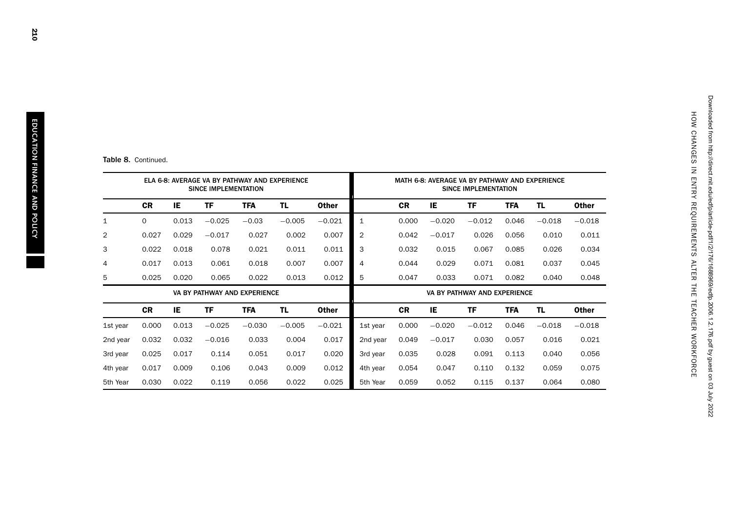| Table 8. Continued.                                                          |                              |       |          |            |                                                                        |              |                              |           |          |           |            |           |              |
|------------------------------------------------------------------------------|------------------------------|-------|----------|------------|------------------------------------------------------------------------|--------------|------------------------------|-----------|----------|-----------|------------|-----------|--------------|
| ELA 6-8: AVERAGE VA BY PATHWAY AND EXPERIENCE<br><b>SINCE IMPLEMENTATION</b> |                              |       |          |            | MATH 6-8: AVERAGE VA BY PATHWAY AND EXPERIENCE<br>SINCE IMPLEMENTATION |              |                              |           |          |           |            |           |              |
|                                                                              | <b>CR</b>                    | IE.   | TF       | <b>TFA</b> | TL.                                                                    | <b>Other</b> |                              | <b>CR</b> | IE       | TF        | <b>TFA</b> | TL.       | <b>Other</b> |
| $\mathbf{1}$                                                                 | 0                            | 0.013 | $-0.025$ | $-0.03$    | $-0.005$                                                               | $-0.021$     | $\mathbf{1}$                 | 0.000     | $-0.020$ | $-0.012$  | 0.046      | $-0.018$  | $-0.018$     |
| $\overline{2}$                                                               | 0.027                        | 0.029 | $-0.017$ | 0.027      | 0.002                                                                  | 0.007        | $\overline{2}$               | 0.042     | $-0.017$ | 0.026     | 0.056      | 0.010     | 0.011        |
| 3                                                                            | 0.022                        | 0.018 | 0.078    | 0.021      | 0.011                                                                  | 0.011        | 3                            | 0.032     | 0.015    | 0.067     | 0.085      | 0.026     | 0.034        |
| 4                                                                            | 0.017                        | 0.013 | 0.061    | 0.018      | 0.007                                                                  | 0.007        | 4                            | 0.044     | 0.029    | 0.071     | 0.081      | 0.037     | 0.045        |
| 5                                                                            | 0.025                        | 0.020 | 0.065    | 0.022      | 0.013                                                                  | 0.012        | 5                            | 0.047     | 0.033    | 0.071     | 0.082      | 0.040     | 0.048        |
|                                                                              | VA BY PATHWAY AND EXPERIENCE |       |          |            |                                                                        |              | VA BY PATHWAY AND EXPERIENCE |           |          |           |            |           |              |
|                                                                              | <b>CR</b>                    | IE.   | TF       | <b>TFA</b> | TL.                                                                    | <b>Other</b> |                              | <b>CR</b> | IE       | <b>TF</b> | <b>TFA</b> | <b>TL</b> | <b>Other</b> |
| 1st year                                                                     | 0.000                        | 0.013 | $-0.025$ | $-0.030$   | $-0.005$                                                               | $-0.021$     | 1st year                     | 0.000     | $-0.020$ | $-0.012$  | 0.046      | $-0.018$  | $-0.018$     |
| 2nd year                                                                     | 0.032                        | 0.032 | $-0.016$ | 0.033      | 0.004                                                                  | 0.017        | 2nd year                     | 0.049     | $-0.017$ | 0.030     | 0.057      | 0.016     | 0.021        |
| 3rd year                                                                     | 0.025                        | 0.017 | 0.114    | 0.051      | 0.017                                                                  | 0.020        | 3rd year                     | 0.035     | 0.028    | 0.091     | 0.113      | 0.040     | 0.056        |
| 4th year                                                                     | 0.017                        | 0.009 | 0.106    | 0.043      | 0.009                                                                  | 0.012        | 4th year                     | 0.054     | 0.047    | 0.110     | 0.132      | 0.059     | 0.075        |
| 5th Year                                                                     | 0.030                        | 0.022 | 0.119    | 0.056      | 0.022                                                                  | 0.025        | 5th Year                     | 0.059     | 0.052    | 0.115     | 0.137      | 0.064     | 0.080        |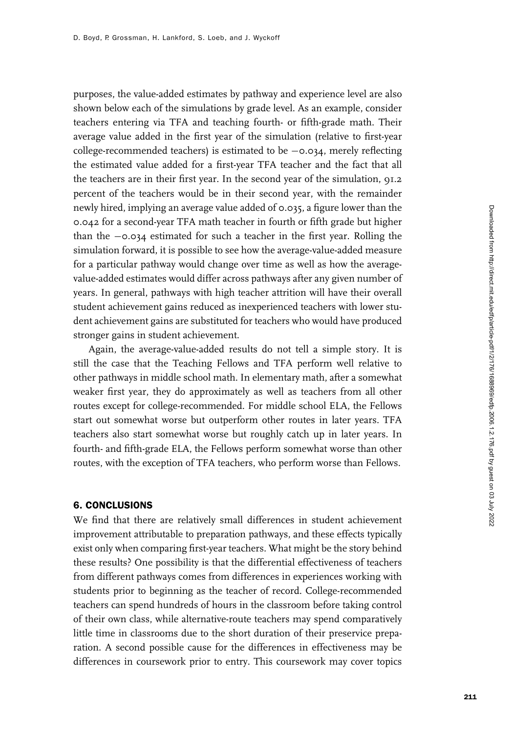purposes, the value-added estimates by pathway and experience level are also shown below each of the simulations by grade level. As an example, consider teachers entering via TFA and teaching fourth- or fifth-grade math. Their average value added in the first year of the simulation (relative to first-year college-recommended teachers) is estimated to be −0.034, merely reflecting the estimated value added for a first-year TFA teacher and the fact that all the teachers are in their first year. In the second year of the simulation, 91.2 percent of the teachers would be in their second year, with the remainder newly hired, implying an average value added of 0.035, a figure lower than the 0.042 for a second-year TFA math teacher in fourth or fifth grade but higher than the −0.034 estimated for such a teacher in the first year. Rolling the simulation forward, it is possible to see how the average-value-added measure for a particular pathway would change over time as well as how the averagevalue-added estimates would differ across pathways after any given number of years. In general, pathways with high teacher attrition will have their overall student achievement gains reduced as inexperienced teachers with lower student achievement gains are substituted for teachers who would have produced stronger gains in student achievement.

Again, the average-value-added results do not tell a simple story. It is still the case that the Teaching Fellows and TFA perform well relative to other pathways in middle school math. In elementary math, after a somewhat weaker first year, they do approximately as well as teachers from all other routes except for college-recommended. For middle school ELA, the Fellows start out somewhat worse but outperform other routes in later years. TFA teachers also start somewhat worse but roughly catch up in later years. In fourth- and fifth-grade ELA, the Fellows perform somewhat worse than other routes, with the exception of TFA teachers, who perform worse than Fellows.

# 6. CONCLUSIONS

We find that there are relatively small differences in student achievement improvement attributable to preparation pathways, and these effects typically exist only when comparing first-year teachers. What might be the story behind these results? One possibility is that the differential effectiveness of teachers from different pathways comes from differences in experiences working with students prior to beginning as the teacher of record. College-recommended teachers can spend hundreds of hours in the classroom before taking control of their own class, while alternative-route teachers may spend comparatively little time in classrooms due to the short duration of their preservice preparation. A second possible cause for the differences in effectiveness may be differences in coursework prior to entry. This coursework may cover topics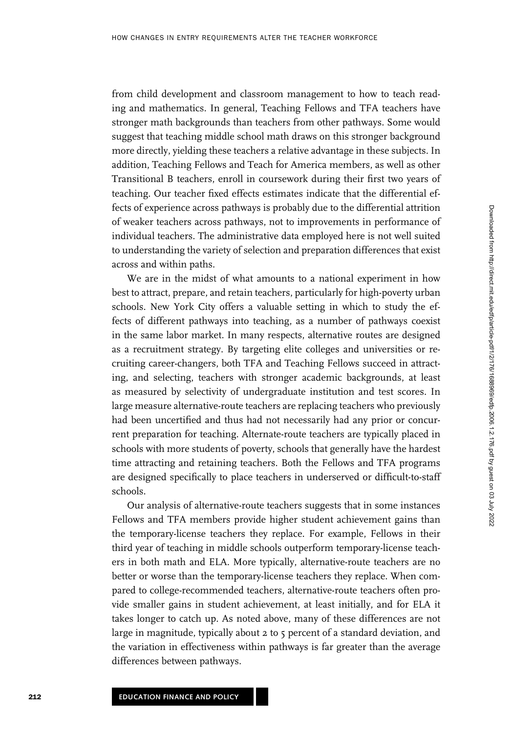from child development and classroom management to how to teach reading and mathematics. In general, Teaching Fellows and TFA teachers have stronger math backgrounds than teachers from other pathways. Some would suggest that teaching middle school math draws on this stronger background more directly, yielding these teachers a relative advantage in these subjects. In addition, Teaching Fellows and Teach for America members, as well as other Transitional B teachers, enroll in coursework during their first two years of teaching. Our teacher fixed effects estimates indicate that the differential effects of experience across pathways is probably due to the differential attrition of weaker teachers across pathways, not to improvements in performance of individual teachers. The administrative data employed here is not well suited to understanding the variety of selection and preparation differences that exist across and within paths.

We are in the midst of what amounts to a national experiment in how best to attract, prepare, and retain teachers, particularly for high-poverty urban schools. New York City offers a valuable setting in which to study the effects of different pathways into teaching, as a number of pathways coexist in the same labor market. In many respects, alternative routes are designed as a recruitment strategy. By targeting elite colleges and universities or recruiting career-changers, both TFA and Teaching Fellows succeed in attracting, and selecting, teachers with stronger academic backgrounds, at least as measured by selectivity of undergraduate institution and test scores. In large measure alternative-route teachers are replacing teachers who previously had been uncertified and thus had not necessarily had any prior or concurrent preparation for teaching. Alternate-route teachers are typically placed in schools with more students of poverty, schools that generally have the hardest time attracting and retaining teachers. Both the Fellows and TFA programs are designed specifically to place teachers in underserved or difficult-to-staff schools.

Our analysis of alternative-route teachers suggests that in some instances Fellows and TFA members provide higher student achievement gains than the temporary-license teachers they replace. For example, Fellows in their third year of teaching in middle schools outperform temporary-license teachers in both math and ELA. More typically, alternative-route teachers are no better or worse than the temporary-license teachers they replace. When compared to college-recommended teachers, alternative-route teachers often provide smaller gains in student achievement, at least initially, and for ELA it takes longer to catch up. As noted above, many of these differences are not large in magnitude, typically about 2 to 5 percent of a standard deviation, and the variation in effectiveness within pathways is far greater than the average differences between pathways.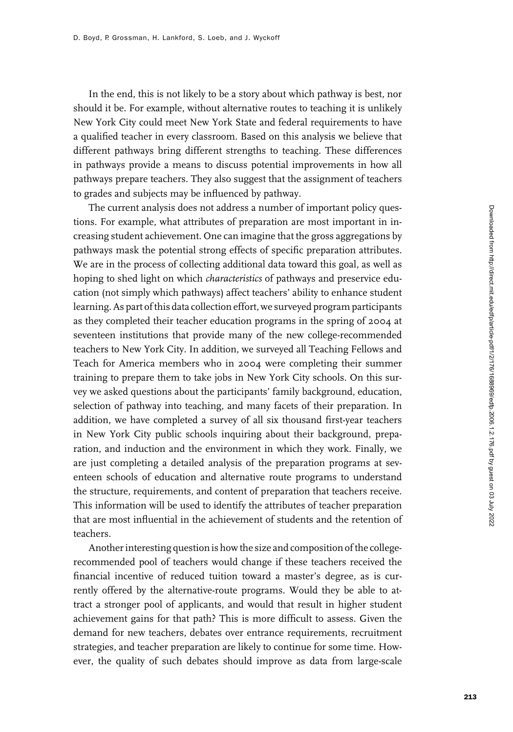In the end, this is not likely to be a story about which pathway is best, nor should it be. For example, without alternative routes to teaching it is unlikely New York City could meet New York State and federal requirements to have a qualified teacher in every classroom. Based on this analysis we believe that different pathways bring different strengths to teaching. These differences in pathways provide a means to discuss potential improvements in how all pathways prepare teachers. They also suggest that the assignment of teachers to grades and subjects may be influenced by pathway.

The current analysis does not address a number of important policy questions. For example, what attributes of preparation are most important in increasing student achievement. One can imagine that the gross aggregations by pathways mask the potential strong effects of specific preparation attributes. We are in the process of collecting additional data toward this goal, as well as hoping to shed light on which *characteristics* of pathways and preservice education (not simply which pathways) affect teachers' ability to enhance student learning. As part of this data collection effort, we surveyed program participants as they completed their teacher education programs in the spring of 2004 at seventeen institutions that provide many of the new college-recommended teachers to New York City. In addition, we surveyed all Teaching Fellows and Teach for America members who in 2004 were completing their summer training to prepare them to take jobs in New York City schools. On this survey we asked questions about the participants' family background, education, selection of pathway into teaching, and many facets of their preparation. In addition, we have completed a survey of all six thousand first-year teachers in New York City public schools inquiring about their background, preparation, and induction and the environment in which they work. Finally, we are just completing a detailed analysis of the preparation programs at seventeen schools of education and alternative route programs to understand the structure, requirements, and content of preparation that teachers receive. This information will be used to identify the attributes of teacher preparation that are most influential in the achievement of students and the retention of teachers.

Another interesting question is how the size and composition of the collegerecommended pool of teachers would change if these teachers received the financial incentive of reduced tuition toward a master's degree, as is currently offered by the alternative-route programs. Would they be able to attract a stronger pool of applicants, and would that result in higher student achievement gains for that path? This is more difficult to assess. Given the demand for new teachers, debates over entrance requirements, recruitment strategies, and teacher preparation are likely to continue for some time. However, the quality of such debates should improve as data from large-scale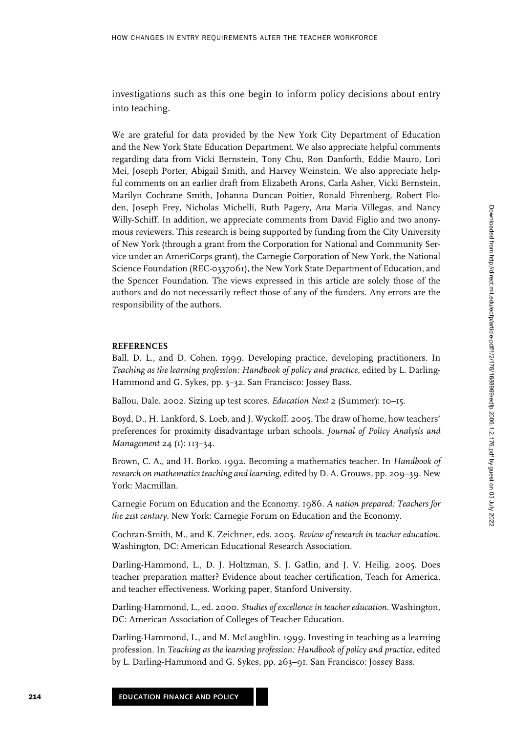investigations such as this one begin to inform policy decisions about entry into teaching.

We are grateful for data provided by the New York City Department of Education and the New York State Education Department. We also appreciate helpful comments regarding data from Vicki Bernstein, Tony Chu, Ron Danforth, Eddie Mauro, Lori Mei, Joseph Porter, Abigail Smith, and Harvey Weinstein. We also appreciate helpful comments on an earlier draft from Elizabeth Arons, Carla Asher, Vicki Bernstein, Marilyn Cochrane Smith, Johanna Duncan Poitier, Ronald Ehrenberg, Robert Floden, Joseph Frey, Nicholas Michelli, Ruth Pagery, Ana Maria Villegas, and Nancy Willy-Schiff. In addition, we appreciate comments from David Figlio and two anonymous reviewers. This research is being supported by funding from the City University of New York (through a grant from the Corporation for National and Community Service under an AmeriCorps grant), the Carnegie Corporation of New York, the National Science Foundation (REC-0337061), the New York State Department of Education, and the Spencer Foundation. The views expressed in this article are solely those of the authors and do not necessarily reflect those of any of the funders. Any errors are the responsibility of the authors.

#### **REFERENCES**

Ball, D. L., and D. Cohen. 1999. Developing practice, developing practitioners. In *Teaching as the learning profession: Handbook of policy and practice*, edited by L. Darling-Hammond and G. Sykes, pp. 3–32. San Francisco: Jossey Bass.

Ballou, Dale. 2002. Sizing up test scores. *Education Next* 2 (Summer): 10–15.

Boyd, D., H. Lankford, S. Loeb, and J. Wyckoff. 2005. The draw of home, how teachers' preferences for proximity disadvantage urban schools. *Journal of Policy Analysis and Management* 24 (1): 113–34.

Brown, C. A., and H. Borko. 1992. Becoming a mathematics teacher. In *Handbook of research on mathematics teaching and learning*, edited by D. A. Grouws, pp. 209–39. New York: Macmillan.

Carnegie Forum on Education and the Economy. 1986. *A nation prepared: Teachers for the 21st century*. New York: Carnegie Forum on Education and the Economy.

Cochran-Smith, M., and K. Zeichner, eds. 2005. *Review of research in teacher education* . Washington, DC: American Educational Research Association.

Darling-Hammond, L., D. J. Holtzman, S. J. Gatlin, and J. V. Heilig. 2005. Does teacher preparation matter? Evidence about teacher certification, Teach for America, and teacher effectiveness. Working paper, Stanford University.

Darling-Hammond, L., ed. 2000. *Studies of excellence in teacher education*. Washington, DC: American Association of Colleges of Teacher Education.

Darling-Hammond, L., and M. McLaughlin. 1999. Investing in teaching as a learning profession. In *Teaching as the learning profession: Handbook of policy and practice*, edited by L. Darling-Hammond and G. Sykes, pp. 263–91. San Francisco: Jossey Bass.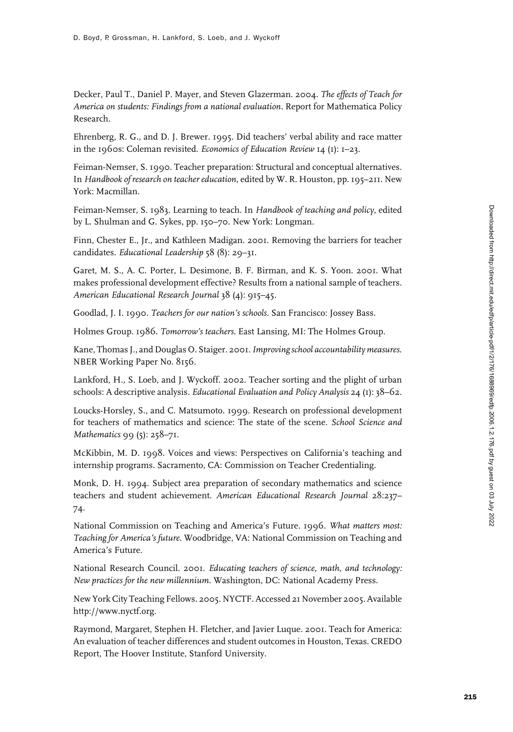Decker, Paul T., Daniel P. Mayer, and Steven Glazerman. 2004. *The effects of Teach for America on students: Findings from a national evaluation.* Report for Mathematica Policy Research.

Ehrenberg, R. G., and D. J. Brewer. 1995. Did teachers' verbal ability and race matter in the 1960s: Coleman revisited. *Economics of Education Review* 14 (1): 1–23.

Feiman-Nemser, S. 1990. Teacher preparation: Structural and conceptual alternatives. In *Handbook of research on teacher education*, edited by W. R. Houston, pp. 195–211. New York: Macmillan.

Feiman-Nemser, S. 1983. Learning to teach. In *Handbook of teaching and policy*, edited by L. Shulman and G. Sykes, pp. 150–70. New York: Longman.

Finn, Chester E., Jr., and Kathleen Madigan. 2001. Removing the barriers for teacher candidates. *Educational Leadership* 58 (8): 29–31.

Garet, M. S., A. C. Porter, L. Desimone, B. F. Birman, and K. S. Yoon. 2001. What makes professional development effective? Results from a national sample of teachers. *American Educational Research Journal* 38 (4): 915–45.

Goodlad, J. I. 1990. *Teachers for our nation's schools*. San Francisco: Jossey Bass.

Holmes Group. 1986. *Tomorrow's teachers*. East Lansing, MI: The Holmes Group.

Kane, Thomas J., and Douglas O. Staiger. 2001.*Improving school accountability measures*. NBER Working Paper No. 8156.

Lankford, H., S. Loeb, and J. Wyckoff. 2002. Teacher sorting and the plight of urban schools: A descriptive analysis. *Educational Evaluation and Policy Analysis* 24 (1): 38–62.

Loucks-Horsley, S., and C. Matsumoto. 1999. Research on professional development for teachers of mathematics and science: The state of the scene. *School Science and Mathematics* 99 (5): 258–71.

McKibbin, M. D. 1998. Voices and views: Perspectives on California's teaching and internship programs. Sacramento, CA: Commission on Teacher Credentialing.

Monk, D. H. 1994. Subject area preparation of secondary mathematics and science teachers and student achievement. *American Educational Research Journal* 28:237– 74.

National Commission on Teaching and America's Future. 1996. *What matters most: Teaching for America's future*. Woodbridge, VA: National Commission on Teaching and America's Future.

National Research Council. 2001. *Educating teachers of science, math, and technology: New practices for the new millennium*. Washington, DC: National Academy Press.

New York City Teaching Fellows. 2005. NYCTF. Accessed 21 November 2005. Available http://www.nyctf.org.

Raymond, Margaret, Stephen H. Fletcher, and Javier Luque. 2001. Teach for America: An evaluation of teacher differences and student outcomes in Houston, Texas. CREDO Report, The Hoover Institute, Stanford University.